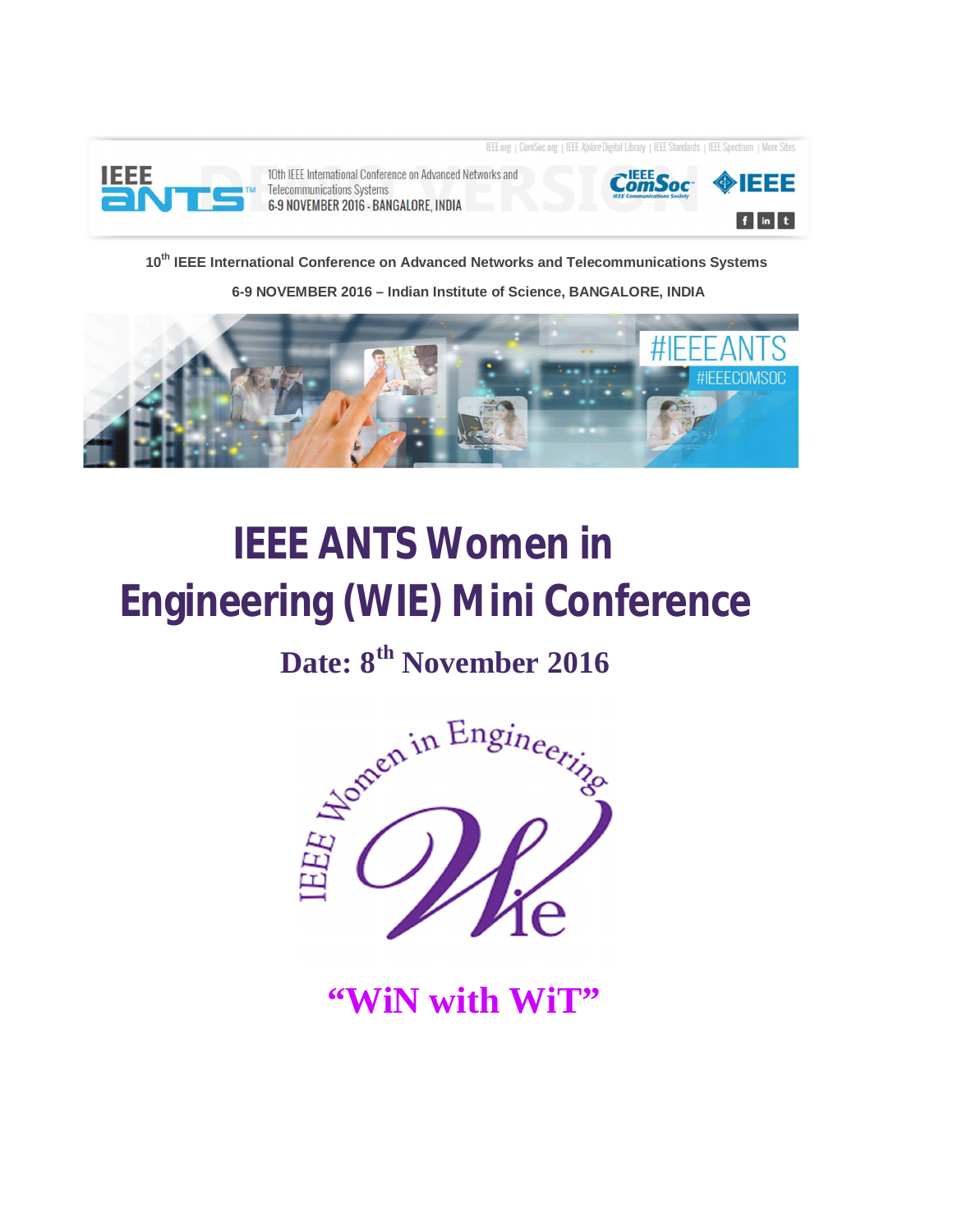

10th IEEE International Conference on Advanced Networks and **Telecommunications Systems** 6-9 NOVEMBER 2016 - BANGALORE, INDIA



IEEE.org | ComSoc.org | IEEE Xplore Digital Library | IEEE Standards | IEEE Spectrum | More Sites

**10th IEEE International Conference on Advanced Networks and Telecommunications Systems** 

 **6-9 NOVEMBER 2016 – Indian Institute of Science, BANGALORE, INDIA**



# **IEEE ANTS Women in Engineering (WIE) Mini Conference**

## **Date: 8th November 2016**



**"WiN with WiT"**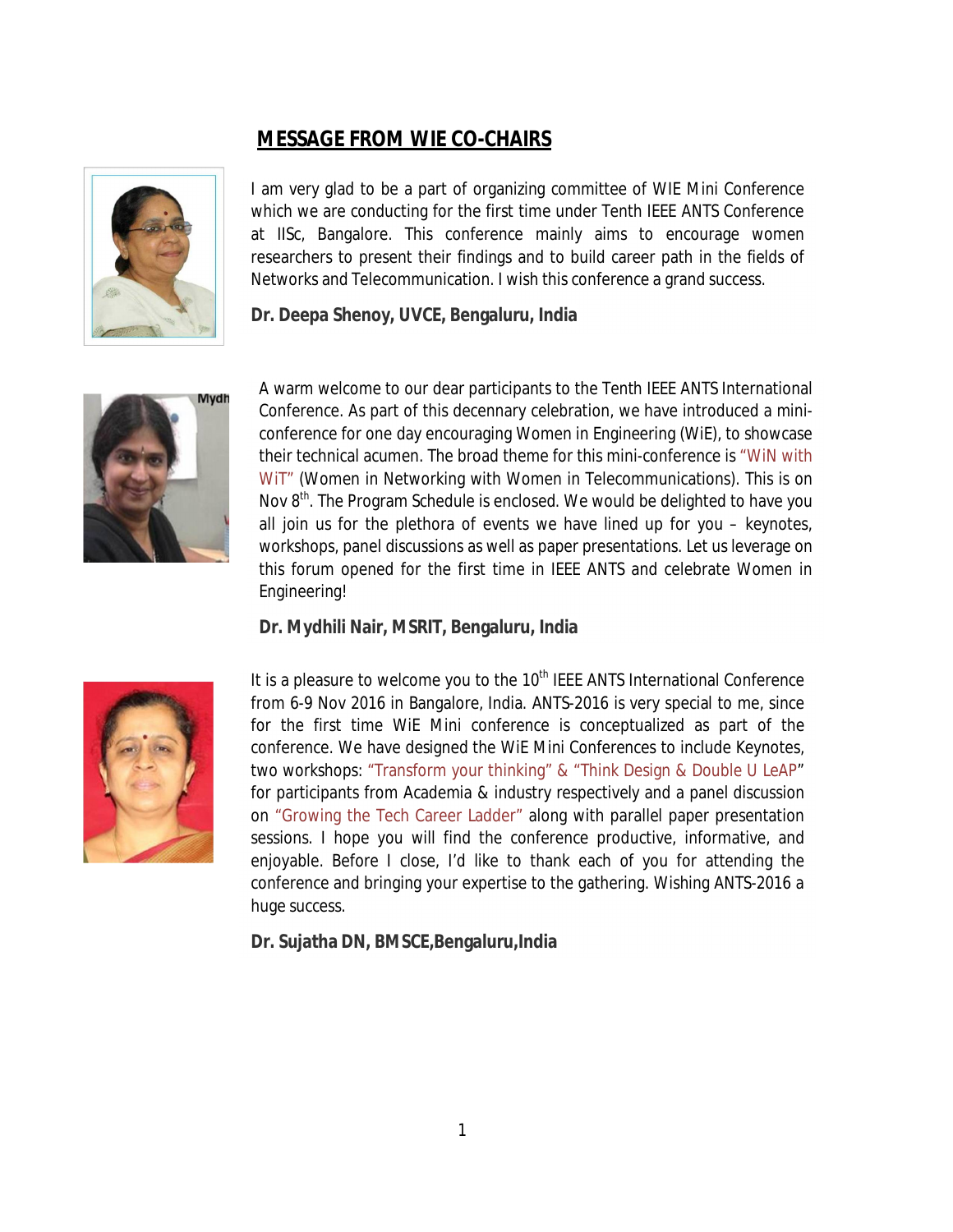## **MESSAGE FROM WIE CO-CHAIRS**



I am very glad to be a part of organizing committee of WIE Mini Conference which we are conducting for the first time under Tenth IEEE ANTS Conference at IISc, Bangalore. This conference mainly aims to encourage women researchers to present their findings and to build career path in the fields of Networks and Telecommunication. I wish this conference a grand success.

#### **Dr. Deepa Shenoy, UVCE, Bengaluru, India**



A warm welcome to our dear participants to the Tenth IEEE ANTS International Conference. As part of this decennary celebration, we have introduced a miniconference for one day encouraging Women in Engineering (WiE), to showcase their technical acumen. The broad theme for this mini-conference is "WiN with WIT" (Women in Networking with Women in Telecommunications). This is on Nov  $8<sup>th</sup>$ . The Program Schedule is enclosed. We would be delighted to have you all join us for the plethora of events we have lined up for you – keynotes, workshops, panel discussions as well as paper presentations. Let us leverage on this forum opened for the first time in IEEE ANTS and celebrate Women in Engineering!

#### **Dr. Mydhili Nair, MSRIT, Bengaluru, India**



It is a pleasure to welcome you to the  $10<sup>th</sup>$  IEEE ANTS International Conference from 6-9 Nov 2016 in Bangalore, India. ANTS-2016 is very special to me, since for the first time WiE Mini conference is conceptualized as part of the conference. We have designed the WiE Mini Conferences to include Keynotes, two workshops: "Transform your thinking" & "Think Design & Double U LeAP" for participants from Academia & industry respectively and a panel discussion on "Growing the Tech Career Ladder" along with parallel paper presentation sessions. I hope you will find the conference productive, informative, and enjoyable. Before I close, I'd like to thank each of you for attending the conference and bringing your expertise to the gathering. Wishing ANTS-2016 a huge success.

**Dr. Sujatha DN, BMSCE,Bengaluru,India**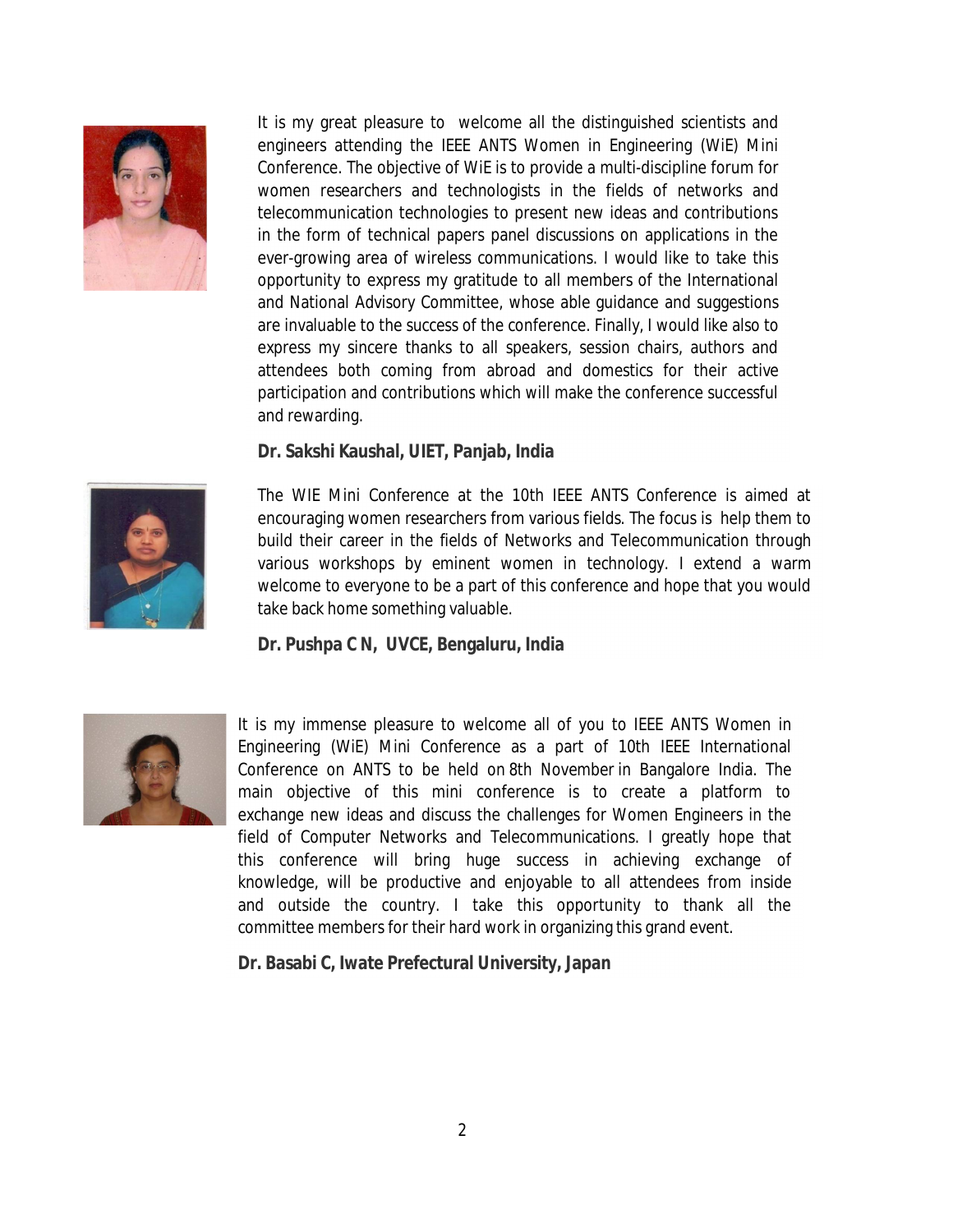

It is my great pleasure to welcome all the distinguished scientists and engineers attending the IEEE ANTS Women in Engineering (WiE) Mini Conference. The objective of WiE is to provide a multi-discipline forum for women researchers and technologists in the fields of networks and telecommunication technologies to present new ideas and contributions in the form of technical papers panel discussions on applications in the ever-growing area of wireless communications. I would like to take this opportunity to express my gratitude to all members of the International and National Advisory Committee, whose able guidance and suggestions are invaluable to the success of the conference. Finally, I would like also to express my sincere thanks to all speakers, session chairs, authors and attendees both coming from abroad and domestics for their active participation and contributions which will make the conference successful and rewarding.

#### **Dr. Sakshi Kaushal, UIET, Panjab, India**



The WIE Mini Conference at the 10th IEEE ANTS Conference is aimed at encouraging women researchers from various fields. The focus is help them to build their career in the fields of Networks and Telecommunication through various workshops by eminent women in technology. I extend a warm welcome to everyone to be a part of this conference and hope that you would take back home something valuable.

#### **Dr. Pushpa C N, UVCE, Bengaluru, India**



It is my immense pleasure to welcome all of you to IEEE ANTS Women in Engineering (WiE) Mini Conference as a part of 10th IEEE International Conference on ANTS to be held on 8th November in Bangalore India. The main objective of this mini conference is to create a platform to exchange new ideas and discuss the challenges for Women Engineers in the field of Computer Networks and Telecommunications. I greatly hope that this conference will bring huge success in achieving exchange of knowledge, will be productive and enjoyable to all attendees from inside and outside the country. I take this opportunity to thank all the committee members for their hard work in organizing this grand event.

#### **Dr. Basabi C, Iwate Prefectural University, Japan**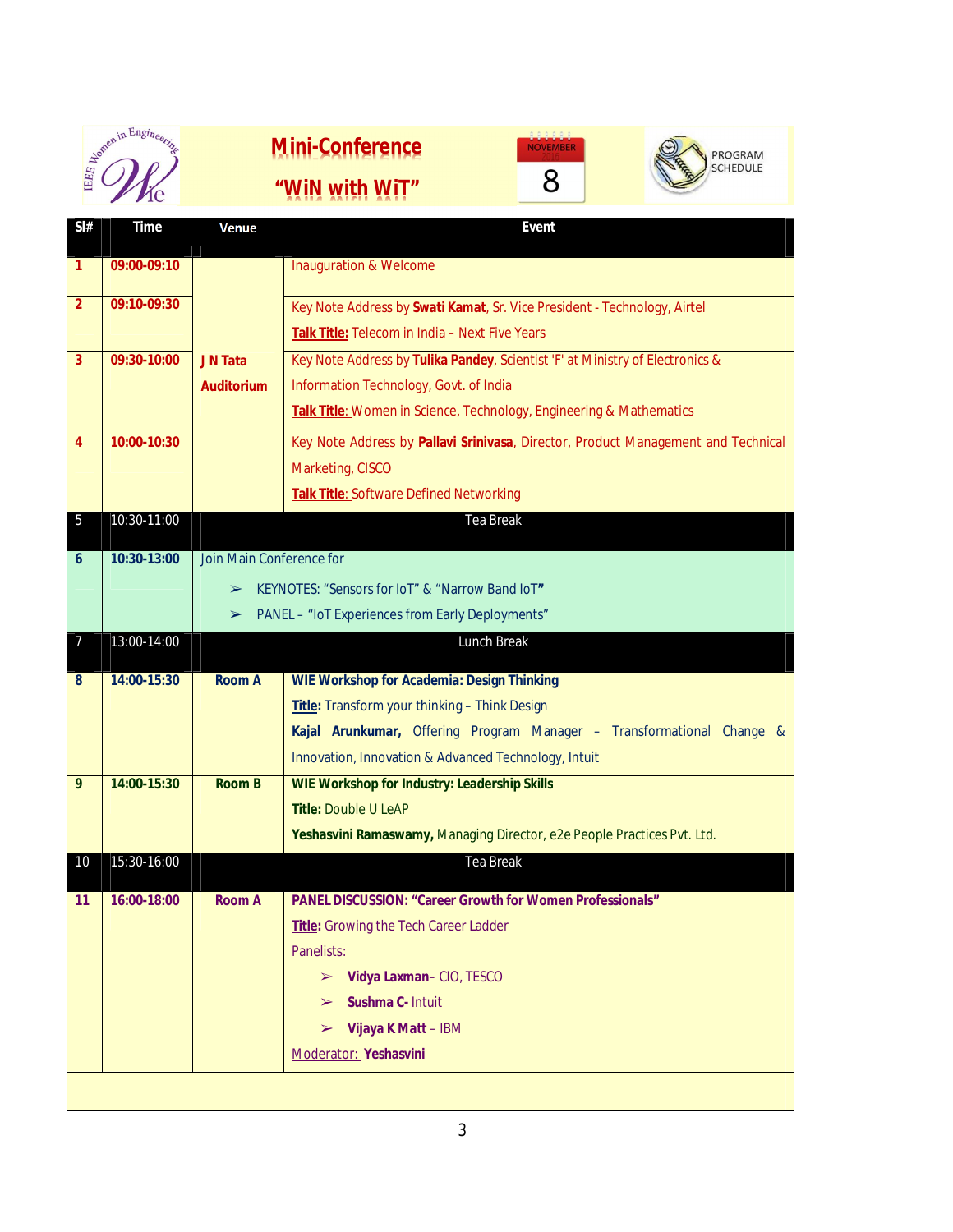| onen in Engineering |
|---------------------|
|                     |
|                     |
|                     |







**Sl# Time Venue Event 1 09:00-09:10 J N Tata Auditorium** Inauguration & Welcome **2 09:10-09:30 Key Note Address by Swati Kamat**, Sr. Vice President - Technology, Airtel **Talk Title:** Telecom in India – Next Five Years **3 09:30-10:00** JN Tata **Key Note Address by Tulika Pandey**, Scientist 'F' at Ministry of Electronics & Information Technology, Govt. of India **Talk Title**: Women in Science, Technology, Engineering & Mathematics **4 10:00-10:30** Key Note Address by **Pallavi Srinivasa**, Director, Product Management and Technical Marketing, CISCO **Talk Title**: Software Defined Networking 5 10:30-11:00 Tea Break **6 10:30-13:00** Join Main Conference for ➢ KEYNOTES: "Sensors for IoT" & "Narrow Band IoT**"**  ➢ PANEL – "IoT Experiences from Early Deployments" 7 13:00-14:00 Lunch Break **8 14:00-15:30 Room A WIE Workshop for Academia: Design Thinking Title:** Transform your thinking – Think Design **Kajal Arunkumar,** Offering Program Manager – Transformational Change & Innovation, Innovation & Advanced Technology, Intuit **9 14:00-15:30 Room B WIE Workshop for Industry: Leadership Skills Title:** Double U LeAP **Yeshasvini Ramaswamy,** Managing Director, e2e People Practices Pvt. Ltd. 10 15:30-16:00 Tea Break **11 16:00-18:00 Room A PANEL DISCUSSION: "Career Growth for Women Professionals" Title:** Growing the Tech Career Ladder Panelists: ➢ **Vidya Laxman**– CIO, TESCO ➢ **Sushma C-** Intuit ➢ **Vijaya K Matt** – IBM Moderator: **Yeshasvini**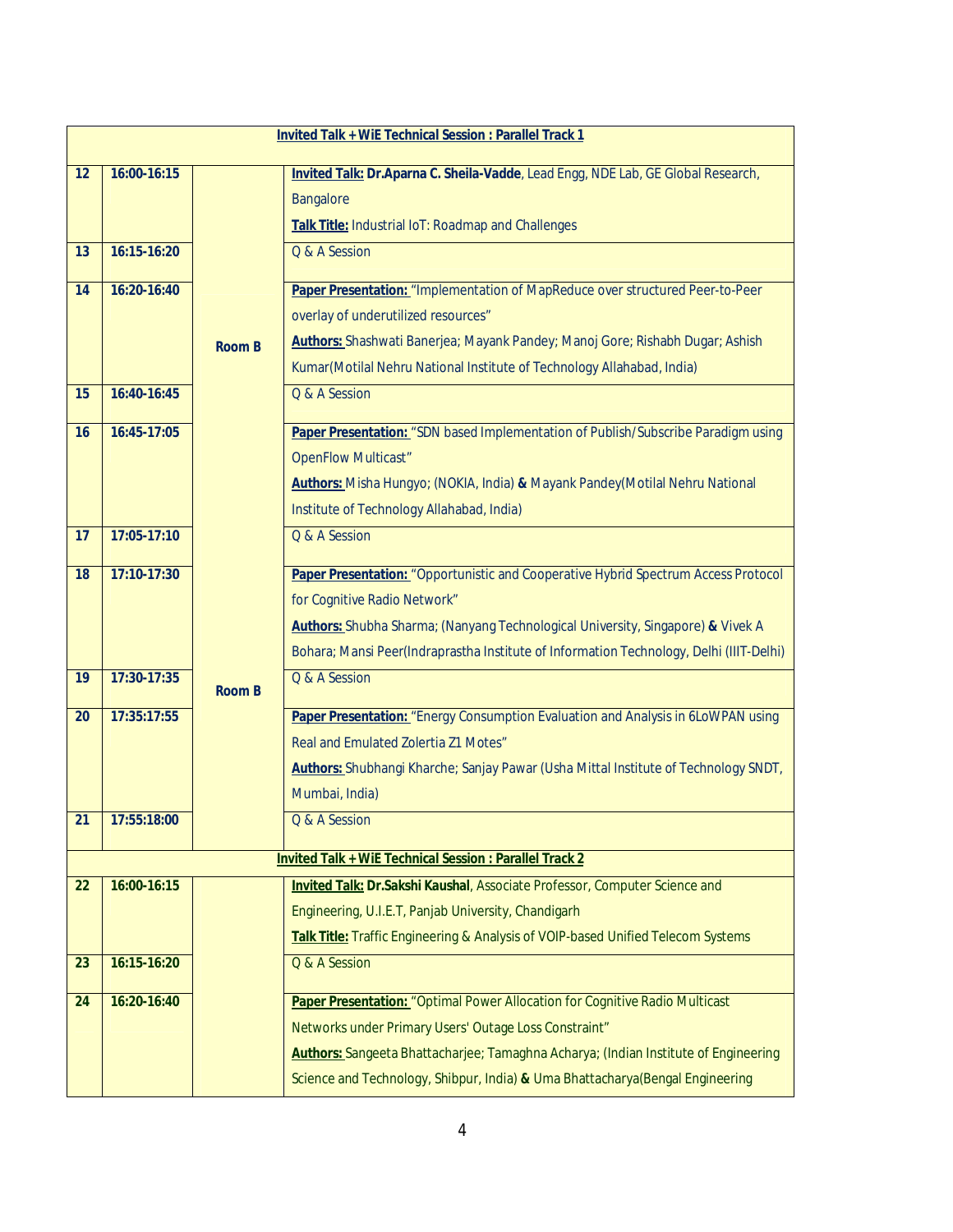| <b>Invited Talk + WiE Technical Session : Parallel Track 1</b> |             |               |                                                                                            |  |  |  |  |
|----------------------------------------------------------------|-------------|---------------|--------------------------------------------------------------------------------------------|--|--|--|--|
| 12                                                             | 16:00-16:15 |               | Invited Talk: Dr.Aparna C. Sheila-Vadde, Lead Engg, NDE Lab, GE Global Research,           |  |  |  |  |
|                                                                |             |               | <b>Bangalore</b>                                                                           |  |  |  |  |
|                                                                |             |               | Talk Title: Industrial IoT: Roadmap and Challenges                                         |  |  |  |  |
| 13                                                             | 16:15-16:20 |               | Q & A Session                                                                              |  |  |  |  |
| 14                                                             | 16:20-16:40 |               | Paper Presentation: "Implementation of MapReduce over structured Peer-to-Peer              |  |  |  |  |
|                                                                |             |               | overlay of underutilized resources"                                                        |  |  |  |  |
|                                                                |             | <b>Room B</b> | Authors: Shashwati Banerjea; Mayank Pandey; Manoj Gore; Rishabh Dugar; Ashish              |  |  |  |  |
|                                                                |             |               | Kumar(Motilal Nehru National Institute of Technology Allahabad, India)                     |  |  |  |  |
| 15                                                             | 16:40-16:45 |               | Q & A Session                                                                              |  |  |  |  |
| 16                                                             | 16:45-17:05 |               | Paper Presentation: "SDN based Implementation of Publish/Subscribe Paradigm using          |  |  |  |  |
|                                                                |             |               | <b>OpenFlow Multicast"</b>                                                                 |  |  |  |  |
|                                                                |             |               | Authors: Misha Hungyo; (NOKIA, India) & Mayank Pandey(Motilal Nehru National               |  |  |  |  |
|                                                                |             |               | Institute of Technology Allahabad, India)                                                  |  |  |  |  |
| 17                                                             | 17:05-17:10 |               | Q & A Session                                                                              |  |  |  |  |
| 18                                                             | 17:10-17:30 |               | Paper Presentation: "Opportunistic and Cooperative Hybrid Spectrum Access Protocol         |  |  |  |  |
|                                                                |             |               | for Cognitive Radio Network"                                                               |  |  |  |  |
|                                                                |             |               | Authors: Shubha Sharma; (Nanyang Technological University, Singapore) & Vivek A            |  |  |  |  |
|                                                                |             |               | Bohara; Mansi Peer(Indraprastha Institute of Information Technology, Delhi (IIIT-Delhi)    |  |  |  |  |
| 19                                                             | 17:30-17:35 | <b>Room B</b> | Q & A Session                                                                              |  |  |  |  |
| 20                                                             | 17:35:17:55 |               | Paper Presentation: "Energy Consumption Evaluation and Analysis in 6LoWPAN using           |  |  |  |  |
|                                                                |             |               | Real and Emulated Zolertia Z1 Motes"                                                       |  |  |  |  |
|                                                                |             |               | Authors: Shubhangi Kharche; Sanjay Pawar (Usha Mittal Institute of Technology SNDT,        |  |  |  |  |
|                                                                |             |               | Mumbai, India)                                                                             |  |  |  |  |
| 21                                                             | 17:55:18:00 |               | Q & A Session                                                                              |  |  |  |  |
| <b>Invited Talk + WiE Technical Session : Parallel Track 2</b> |             |               |                                                                                            |  |  |  |  |
| 22                                                             | 16:00-16:15 |               | Invited Talk: Dr.Sakshi Kaushal, Associate Professor, Computer Science and                 |  |  |  |  |
|                                                                |             |               | Engineering, U.I.E.T, Panjab University, Chandigarh                                        |  |  |  |  |
|                                                                |             |               | Talk Title: Traffic Engineering & Analysis of VOIP-based Unified Telecom Systems           |  |  |  |  |
| 23                                                             | 16:15-16:20 |               | Q & A Session                                                                              |  |  |  |  |
| 24                                                             | 16:20-16:40 |               | Paper Presentation: "Optimal Power Allocation for Cognitive Radio Multicast                |  |  |  |  |
|                                                                |             |               | Networks under Primary Users' Outage Loss Constraint"                                      |  |  |  |  |
|                                                                |             |               | <b>Authors:</b> Sangeeta Bhattacharjee; Tamaghna Acharya; (Indian Institute of Engineering |  |  |  |  |
|                                                                |             |               | Science and Technology, Shibpur, India) & Uma Bhattacharya (Bengal Engineering             |  |  |  |  |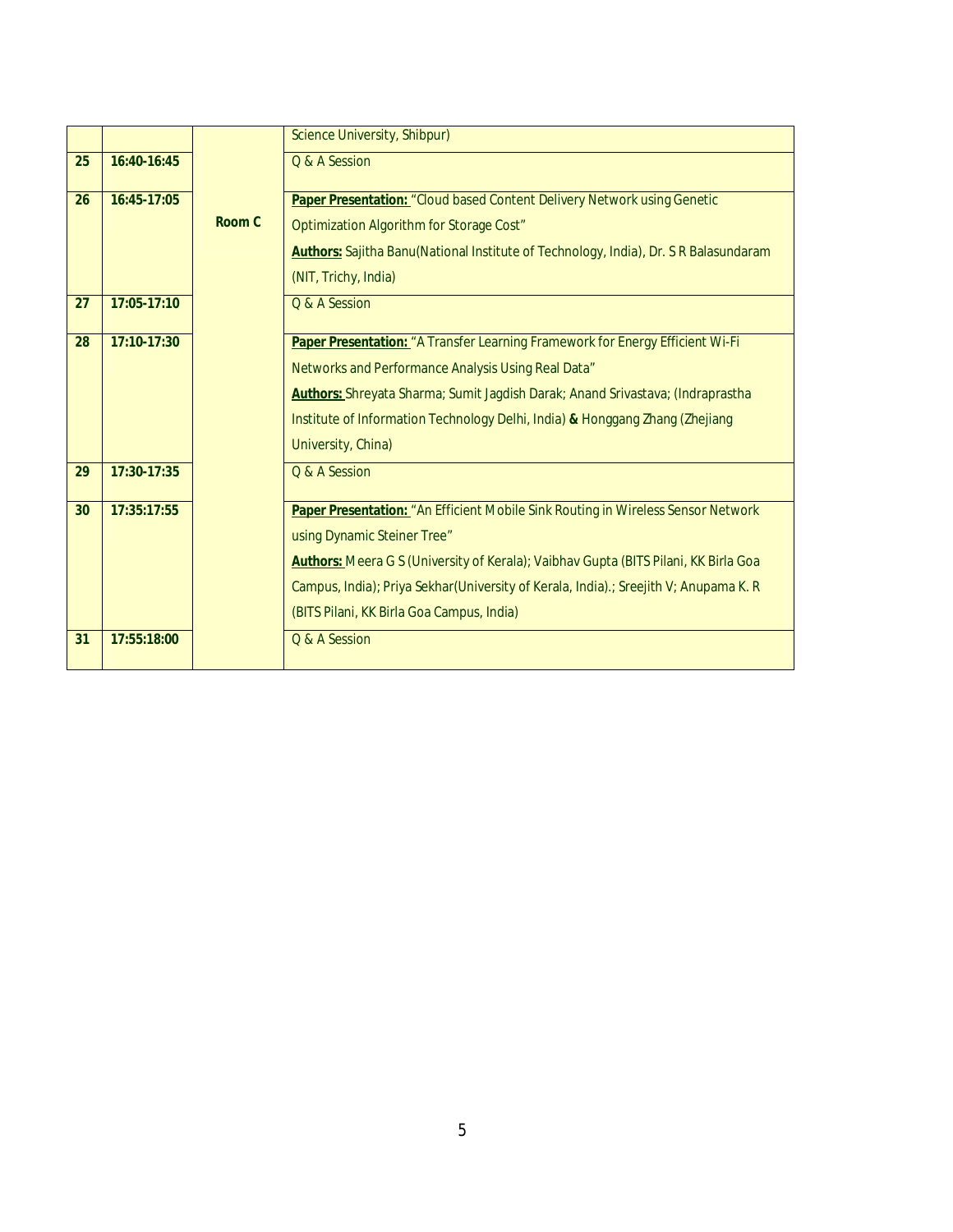|    |             |        | Science University, Shibpur)                                                          |
|----|-------------|--------|---------------------------------------------------------------------------------------|
| 25 | 16:40-16:45 |        | Q & A Session                                                                         |
| 26 | 16:45-17:05 |        | Paper Presentation: "Cloud based Content Delivery Network using Genetic               |
|    |             | Room C | Optimization Algorithm for Storage Cost"                                              |
|    |             |        | Authors: Sajitha Banu(National Institute of Technology, India), Dr. S R Balasundaram  |
|    |             |        | (NIT, Trichy, India)                                                                  |
| 27 | 17:05-17:10 |        | Q & A Session                                                                         |
| 28 | 17:10-17:30 |        | Paper Presentation: "A Transfer Learning Framework for Energy Efficient Wi-Fi         |
|    |             |        | Networks and Performance Analysis Using Real Data"                                    |
|    |             |        | <b>Authors:</b> Shreyata Sharma; Sumit Jagdish Darak; Anand Srivastava; (Indraprastha |
|    |             |        | Institute of Information Technology Delhi, India) & Honggang Zhang (Zhejiang          |
|    |             |        | University, China)                                                                    |
| 29 | 17:30-17:35 |        | Q & A Session                                                                         |
| 30 | 17:35:17:55 |        | Paper Presentation: "An Efficient Mobile Sink Routing in Wireless Sensor Network      |
|    |             |        | using Dynamic Steiner Tree"                                                           |
|    |             |        | Authors: Meera G S (University of Kerala); Vaibhav Gupta (BITS Pilani, KK Birla Goa   |
|    |             |        | Campus, India); Priya Sekhar(University of Kerala, India) .; Sreejith V; Anupama K. R |
|    |             |        | (BITS Pilani, KK Birla Goa Campus, India)                                             |
| 31 | 17:55:18:00 |        | Q & A Session                                                                         |
|    |             |        |                                                                                       |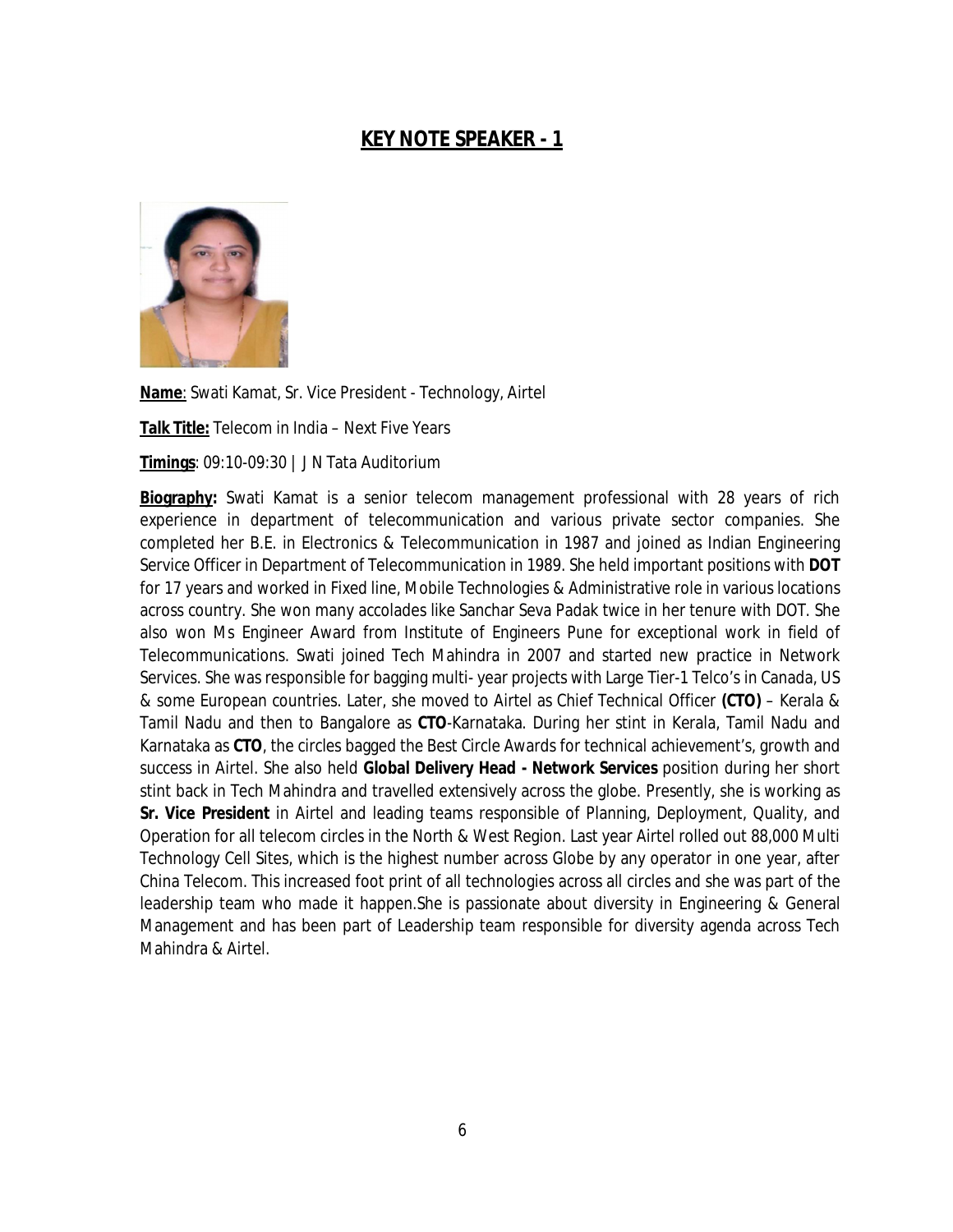## **KEY NOTE SPEAKER - 1**



**Name**: Swati Kamat, Sr. Vice President - Technology, Airtel

**Talk Title:** Telecom in India – Next Five Years

**Timings**: 09:10-09:30 | J N Tata Auditorium

**Biography:** Swati Kamat is a senior telecom management professional with 28 years of rich experience in department of telecommunication and various private sector companies. She completed her B.E. in Electronics & Telecommunication in 1987 and joined as Indian Engineering Service Officer in Department of Telecommunication in 1989. She held important positions with **DOT** for 17 years and worked in Fixed line, Mobile Technologies & Administrative role in various locations across country. She won many accolades like Sanchar Seva Padak twice in her tenure with DOT. She also won Ms Engineer Award from Institute of Engineers Pune for exceptional work in field of Telecommunications. Swati joined Tech Mahindra in 2007 and started new practice in Network Services. She was responsible for bagging multi- year projects with Large Tier-1 Telco's in Canada, US & some European countries. Later, she moved to Airtel as Chief Technical Officer **(CTO)** – Kerala & Tamil Nadu and then to Bangalore as **CTO**-Karnataka. During her stint in Kerala, Tamil Nadu and Karnataka as **CTO**, the circles bagged the Best Circle Awards for technical achievement's, growth and success in Airtel. She also held **Global Delivery Head - Network Services** position during her short stint back in Tech Mahindra and travelled extensively across the globe. Presently, she is working as **Sr. Vice President** in Airtel and leading teams responsible of Planning, Deployment, Quality, and Operation for all telecom circles in the North & West Region. Last year Airtel rolled out 88,000 Multi Technology Cell Sites, which is the highest number across Globe by any operator in one year, after China Telecom. This increased foot print of all technologies across all circles and she was part of the leadership team who made it happen.She is passionate about diversity in Engineering & General Management and has been part of Leadership team responsible for diversity agenda across Tech Mahindra & Airtel.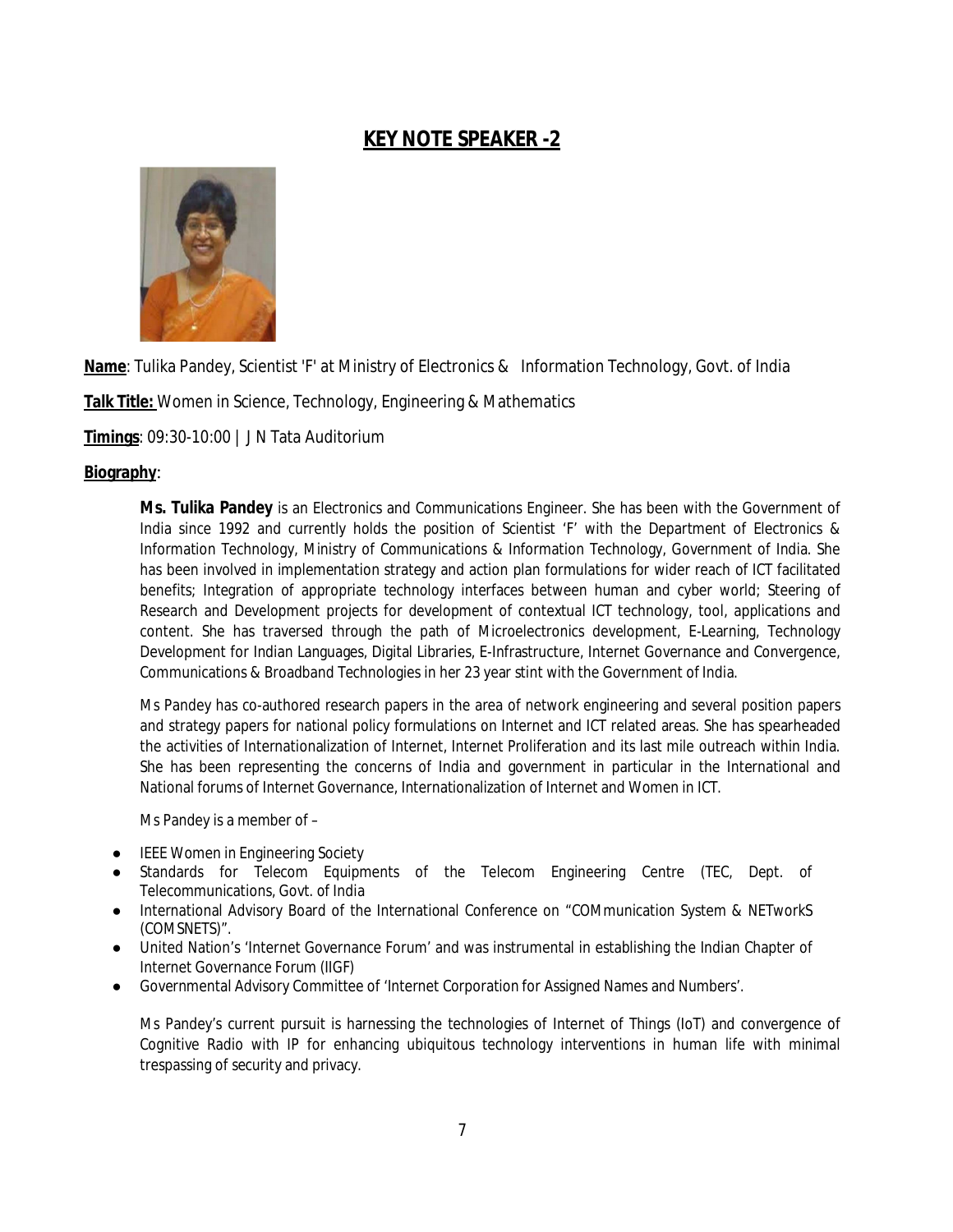## **KEY NOTE SPEAKER -2**



**Name**: Tulika Pandey, Scientist 'F' at Ministry of Electronics & Information Technology, Govt. of India

**Talk Title:** Women in Science, Technology, Engineering & Mathematics

**Timings**: 09:30-10:00 | J N Tata Auditorium

#### **Biography**:

**Ms. Tulika Pandey** is an Electronics and Communications Engineer. She has been with the Government of India since 1992 and currently holds the position of Scientist 'F' with the Department of Electronics & Information Technology, Ministry of Communications & Information Technology, Government of India. She has been involved in implementation strategy and action plan formulations for wider reach of ICT facilitated benefits; Integration of appropriate technology interfaces between human and cyber world; Steering of Research and Development projects for development of contextual ICT technology, tool, applications and content. She has traversed through the path of Microelectronics development, E-Learning, Technology Development for Indian Languages, Digital Libraries, E-Infrastructure, Internet Governance and Convergence, Communications & Broadband Technologies in her 23 year stint with the Government of India.

Ms Pandey has co-authored research papers in the area of network engineering and several position papers and strategy papers for national policy formulations on Internet and ICT related areas. She has spearheaded the activities of Internationalization of Internet, Internet Proliferation and its last mile outreach within India. She has been representing the concerns of India and government in particular in the International and National forums of Internet Governance, Internationalization of Internet and Women in ICT.

Ms Pandey is a member of –

- **IEEE Women in Engineering Society**
- Standards for Telecom Equipments of the Telecom Engineering Centre (TEC, Dept. of Telecommunications, Govt. of India
- International Advisory Board of the International Conference on "COMmunication System & NETworkS (COMSNETS)".
- United Nation's 'Internet Governance Forum' and was instrumental in establishing the Indian Chapter of Internet Governance Forum (IIGF)
- Governmental Advisory Committee of 'Internet Corporation for Assigned Names and Numbers'.

Ms Pandey's current pursuit is harnessing the technologies of Internet of Things (IoT) and convergence of Cognitive Radio with IP for enhancing ubiquitous technology interventions in human life with minimal trespassing of security and privacy.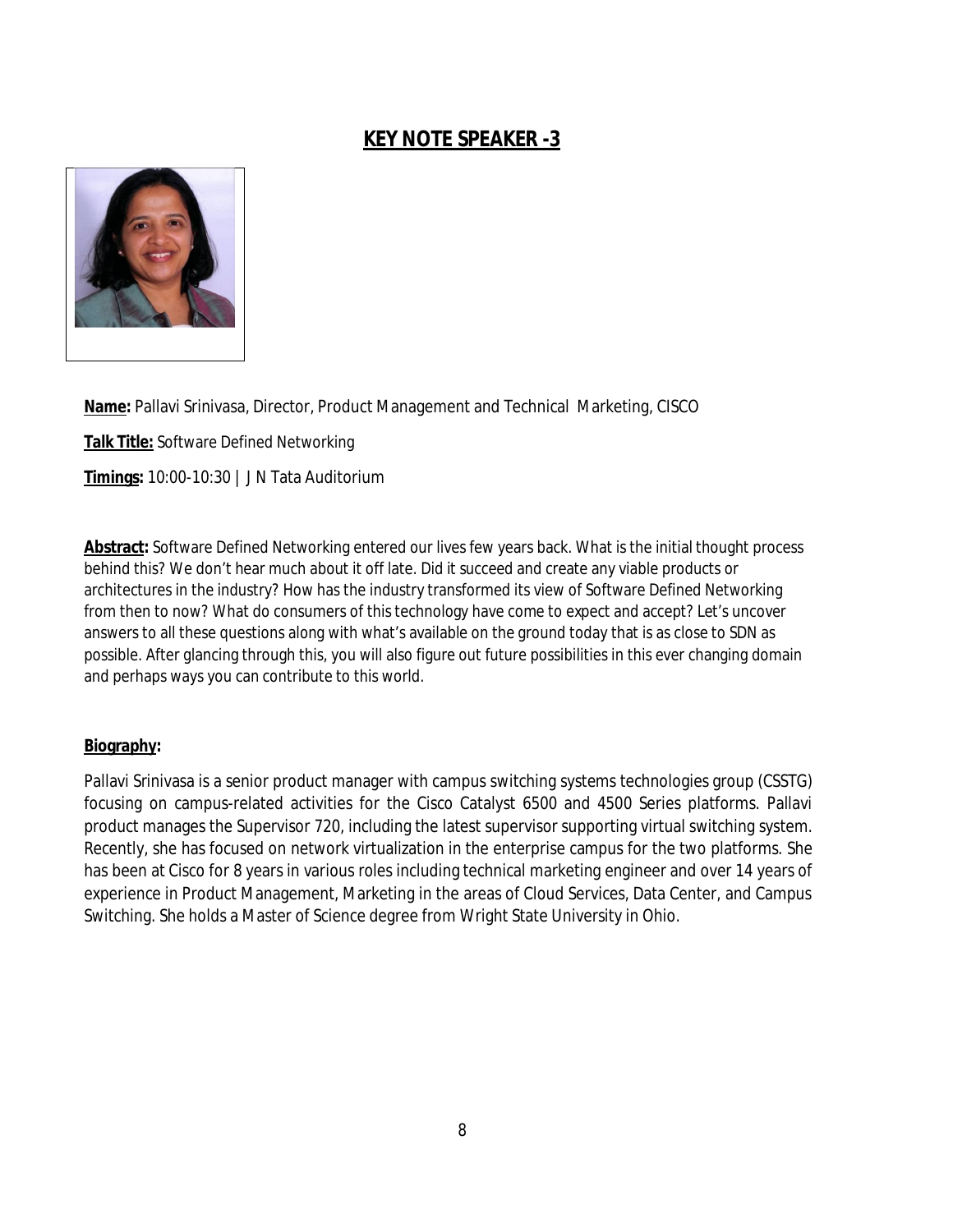## **KEY NOTE SPEAKER -3**



**Name:** Pallavi Srinivasa, Director, Product Management and Technical Marketing, CISCO

**Talk Title:** Software Defined Networking

**Timings:** 10:00-10:30 | J N Tata Auditorium

**Abstract:** Software Defined Networking entered our lives few years back. What is the initial thought process behind this? We don't hear much about it off late. Did it succeed and create any viable products or architectures in the industry? How has the industry transformed its view of Software Defined Networking from then to now? What do consumers of this technology have come to expect and accept? Let's uncover answers to all these questions along with what's available on the ground today that is as close to SDN as possible. After glancing through this, you will also figure out future possibilities in this ever changing domain and perhaps ways you can contribute to this world.

#### **Biography:**

Pallavi Srinivasa is a senior product manager with campus switching systems technologies group (CSSTG) focusing on campus-related activities for the Cisco Catalyst 6500 and 4500 Series platforms. Pallavi product manages the Supervisor 720, including the latest supervisor supporting virtual switching system. Recently, she has focused on network virtualization in the enterprise campus for the two platforms. She has been at Cisco for 8 years in various roles including technical marketing engineer and over 14 years of experience in Product Management, Marketing in the areas of Cloud Services, Data Center, and Campus Switching. She holds a Master of Science degree from Wright State University in Ohio.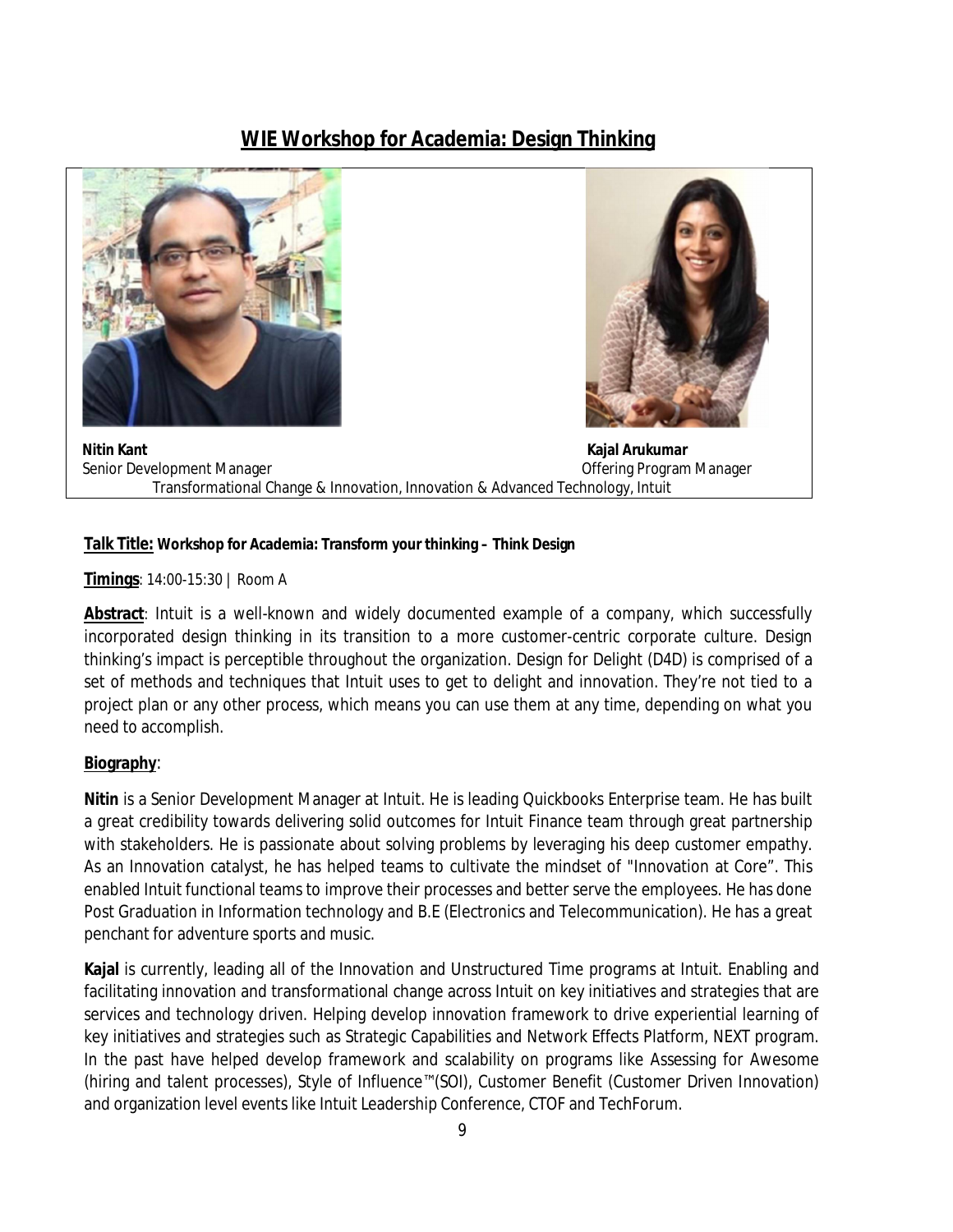## **WIE Workshop for Academia: Design Thinking**





 **Nitin Kant Kajal Arukumar** Senior Development Manager and Communication of the Offering Program Manager Transformational Change & Innovation, Innovation & Advanced Technology, Intuit

#### **Talk Title: Workshop for Academia: Transform your thinking – Think Design**

**Timings**: 14:00-15:30 | Room A

**Abstract**: Intuit is a well-known and widely documented example of a company, which successfully incorporated design thinking in its transition to a more customer-centric corporate culture. Design thinking's impact is perceptible throughout the organization. Design for Delight (D4D) is comprised of a set of methods and techniques that Intuit uses to get to delight and innovation. They're not tied to a project plan or any other process, which means you can use them at any time, depending on what you need to accomplish.

#### **Biography**:

**Nitin** is a Senior Development Manager at Intuit. He is leading Quickbooks Enterprise team. He has built a great credibility towards delivering solid outcomes for Intuit Finance team through great partnership with stakeholders. He is passionate about solving problems by leveraging his deep customer empathy. As an Innovation catalyst, he has helped teams to cultivate the mindset of "Innovation at Core". This enabled Intuit functional teams to improve their processes and better serve the employees. He has done Post Graduation in Information technology and B.E (Electronics and Telecommunication). He has a great penchant for adventure sports and music.

**Kajal** is currently, leading all of the Innovation and Unstructured Time programs at Intuit. Enabling and facilitating innovation and transformational change across Intuit on key initiatives and strategies that are services and technology driven. Helping develop innovation framework to drive experiential learning of key initiatives and strategies such as Strategic Capabilities and Network Effects Platform, NEXT program. In the past have helped develop framework and scalability on programs like Assessing for Awesome (hiring and talent processes), Style of Influence™(SOI), Customer Benefit (Customer Driven Innovation) and organization level events like Intuit Leadership Conference, CTOF and TechForum.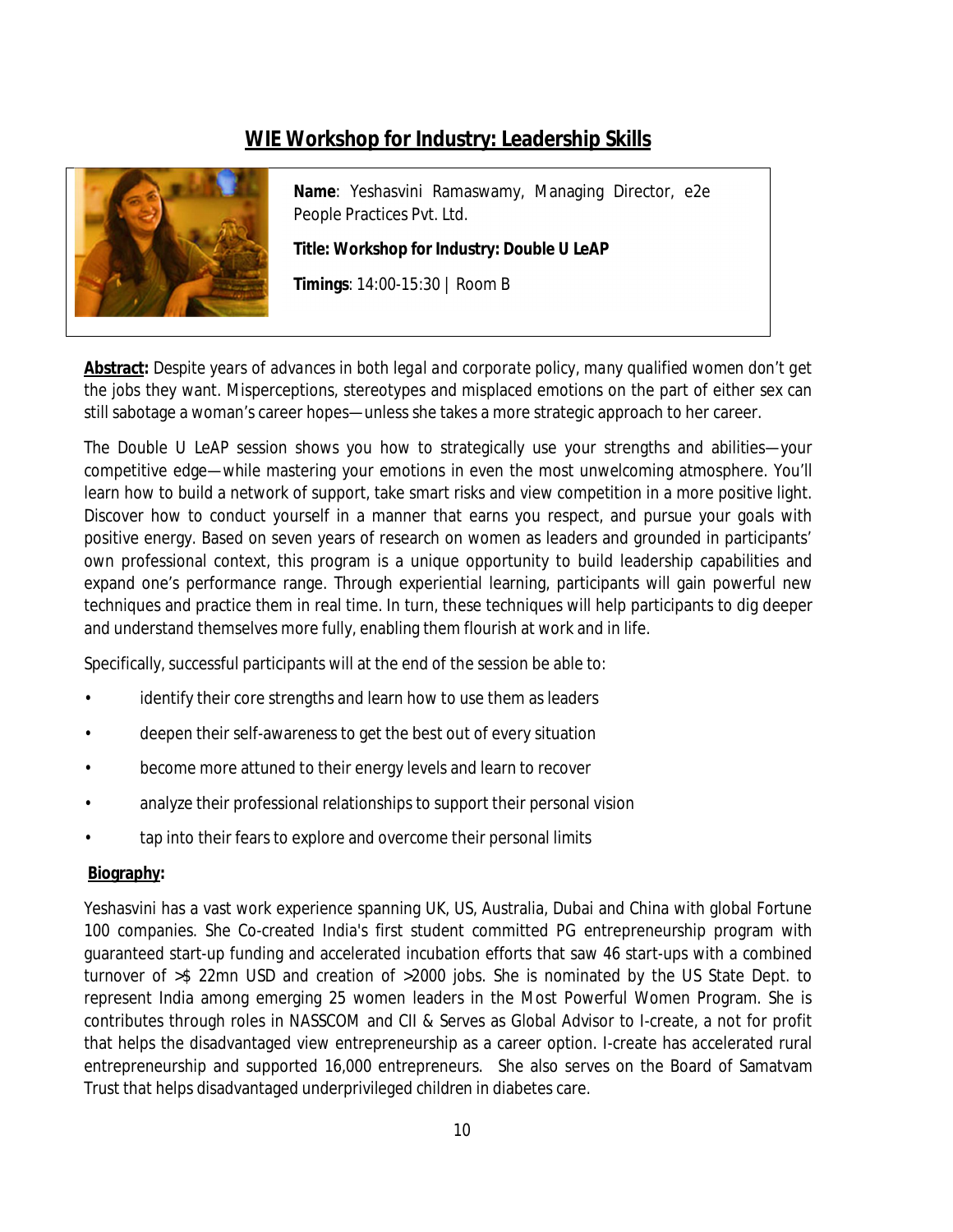## **WIE Workshop for Industry: Leadership Skills**



**Name**: Yeshasvini Ramaswamy, Managing Director, e2e People Practices Pvt. Ltd.

**Title: Workshop for Industry: Double U LeAP**

**Timings**: 14:00-15:30 | Room B

**Abstract***: Despite years of advances in both legal and corporate policy, many qualified women don't get the jobs* they want. Misperceptions, stereotypes and misplaced emotions on the part of either sex can still sabotage a woman's career hopes—unless she takes a more strategic approach to her career.

The Double U LeAP session shows you how to strategically use your strengths and abilities—your competitive edge—while mastering your emotions in even the most unwelcoming atmosphere. You'll learn how to build a network of support, take smart risks and view competition in a more positive light. Discover how to conduct yourself in a manner that earns you respect, and pursue your goals with positive energy. Based on seven years of research on women as leaders and grounded in participants' own professional context, this program is a unique opportunity to build leadership capabilities and expand one's performance range. Through experiential learning, participants will gain powerful new techniques and practice them in real time. In turn, these techniques will help participants to dig deeper and understand themselves more fully, enabling them flourish at work and in life.

Specifically, successful participants will at the end of the session be able to:

- identify their core strengths and learn how to use them as leaders
- deepen their self-awareness to get the best out of every situation
- become more attuned to their energy levels and learn to recover
- analyze their professional relationships to support their personal vision
- tap into their fears to explore and overcome their personal limits

#### **Biography:**

Yeshasvini has a vast work experience spanning UK, US, Australia, Dubai and China with global Fortune 100 companies. She Co-created India's first student committed PG entrepreneurship program with guaranteed start-up funding and accelerated incubation efforts that saw 46 start-ups with a combined turnover of >\$ 22mn USD and creation of >2000 jobs. She is nominated by the US State Dept. to represent India among emerging 25 women leaders in the Most Powerful Women Program. She is contributes through roles in NASSCOM and CII & Serves as Global Advisor to I-create, a not for profit that helps the disadvantaged view entrepreneurship as a career option. I-create has accelerated rural entrepreneurship and supported 16,000 entrepreneurs. She also serves on the Board of Samatvam Trust that helps disadvantaged underprivileged children in diabetes care.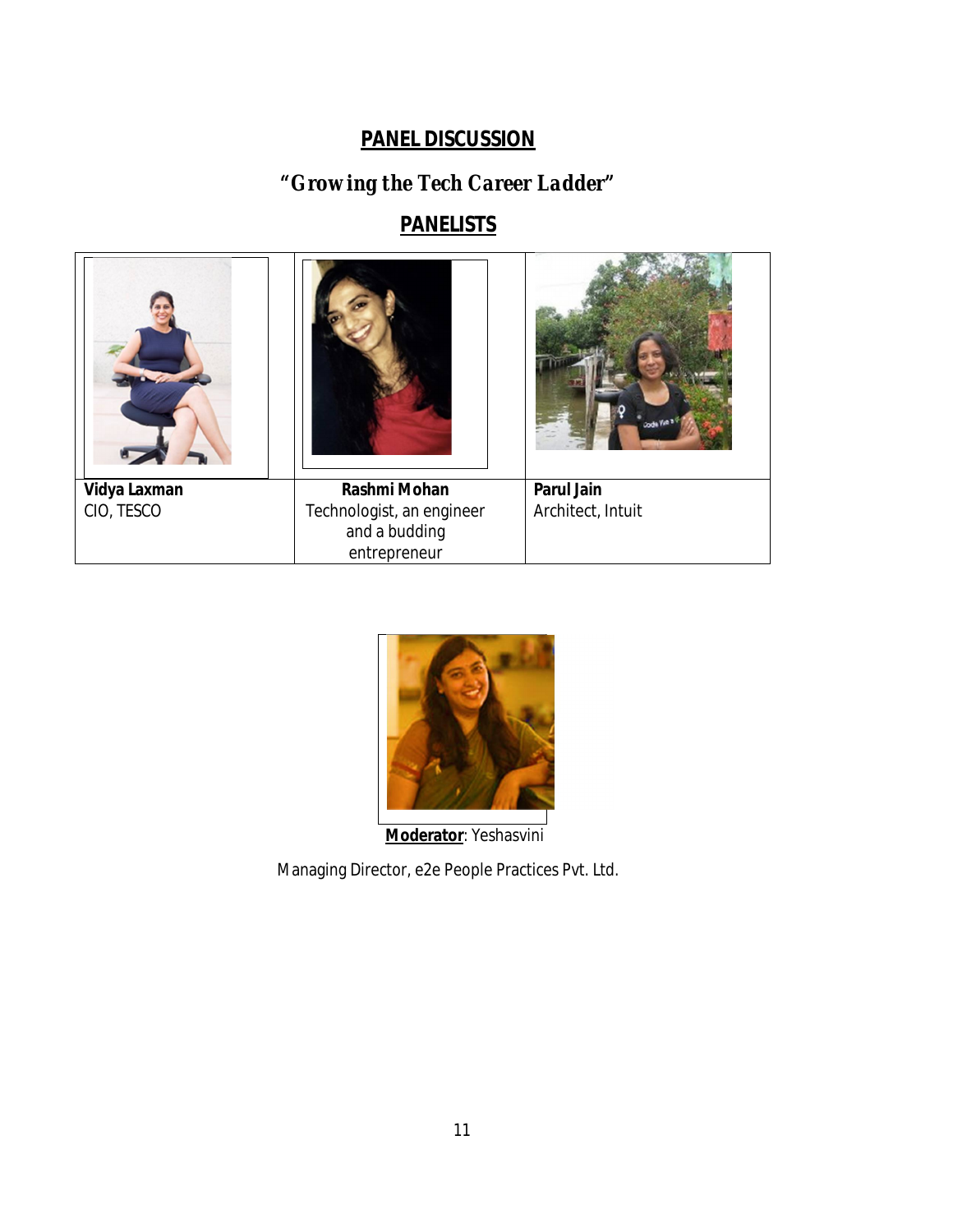## **PANEL DISCUSSION**

## *"Growing the Tech Career Ladder"*

## **PANELISTS**

| $\mathbf{Z}$ |                           | <b>Jode Viet 1</b> |
|--------------|---------------------------|--------------------|
| Vidya Laxman | Rashmi Mohan              | <b>Parul Jain</b>  |
| CIO, TESCO   | Technologist, an engineer | Architect, Intuit  |
|              | and a budding             |                    |
|              | entrepreneur              |                    |



 **Moderator**: Yeshasvini

Managing Director, e2e People Practices Pvt. Ltd.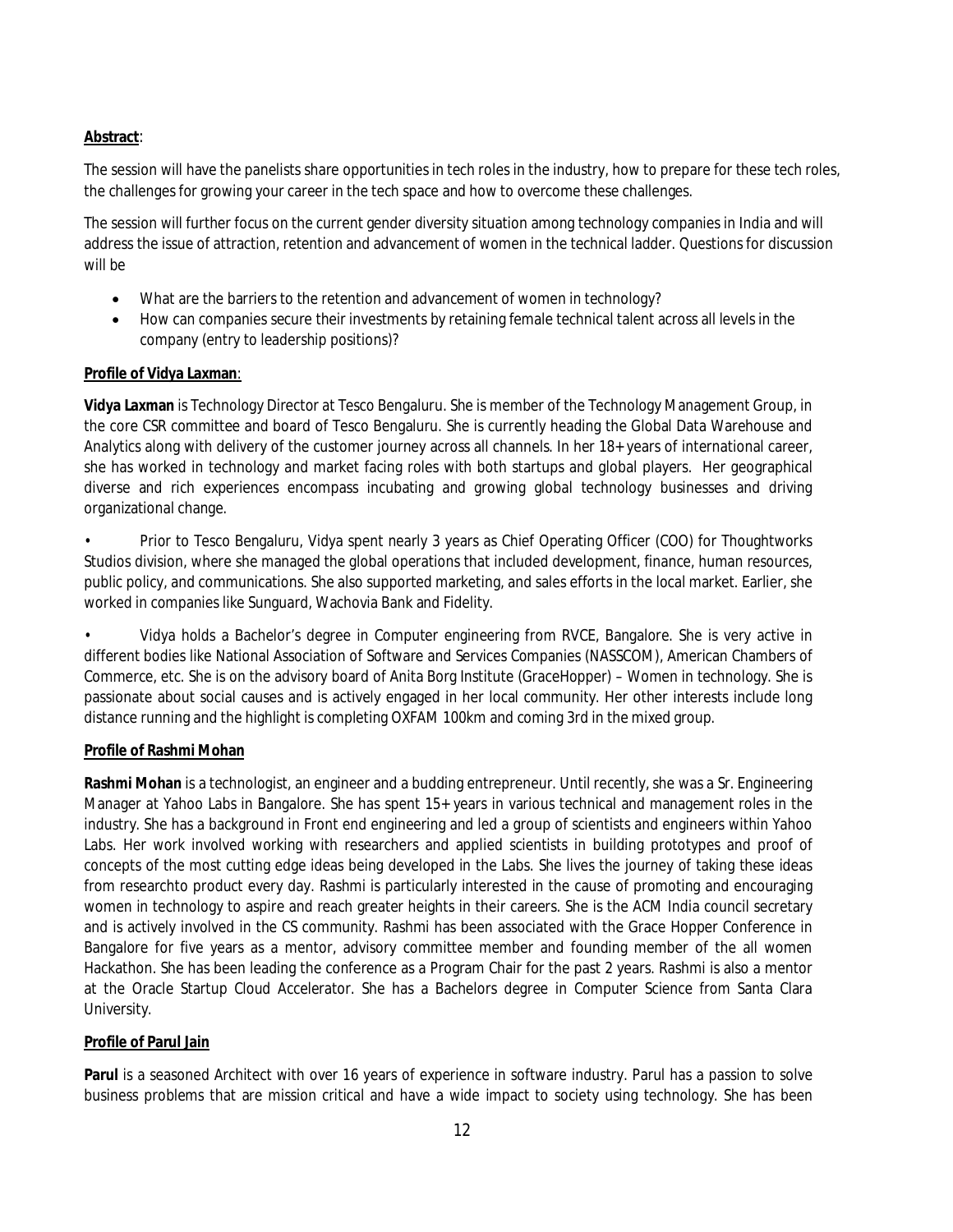#### **Abstract**:

The session will have the panelists share opportunities in tech roles in the industry, how to prepare for these tech roles, the challenges for growing your career in the tech space and how to overcome these challenges.

The session will further focus on the current gender diversity situation among technology companies in India and will address the issue of attraction, retention and advancement of women in the technical ladder. Questions for discussion will be

- What are the barriers to the retention and advancement of women in technology?
- How can companies secure their investments by retaining female technical talent across all levels in the company (entry to leadership positions)?

#### **Profile of Vidya Laxman**:

**Vidya Laxman** is Technology Director at Tesco Bengaluru. She is member of the Technology Management Group, in the core CSR committee and board of Tesco Bengaluru. She is currently heading the Global Data Warehouse and Analytics along with delivery of the customer journey across all channels. In her 18+ years of international career, she has worked in technology and market facing roles with both startups and global players. Her geographical diverse and rich experiences encompass incubating and growing global technology businesses and driving organizational change.

• Prior to Tesco Bengaluru, Vidya spent nearly 3 years as Chief Operating Officer (COO) for Thoughtworks Studios division, where she managed the global operations that included development, finance, human resources, public policy, and communications. She also supported marketing, and sales efforts in the local market. Earlier, she worked in companies like Sunguard, Wachovia Bank and Fidelity.

• Vidya holds a Bachelor's degree in Computer engineering from RVCE, Bangalore. She is very active in different bodies like National Association of Software and Services Companies (NASSCOM), American Chambers of Commerce, etc. She is on the advisory board of Anita Borg Institute (GraceHopper) – Women in technology. She is passionate about social causes and is actively engaged in her local community. Her other interests include long distance running and the highlight is completing OXFAM 100km and coming 3rd in the mixed group.

#### **Profile of Rashmi Mohan**

**Rashmi Mohan** is a technologist, an engineer and a budding entrepreneur. Until recently, she was a Sr. Engineering Manager at Yahoo Labs in Bangalore. She has spent 15+ years in various technical and management roles in the industry. She has a background in Front end engineering and led a group of scientists and engineers within Yahoo Labs. Her work involved working with researchers and applied scientists in building prototypes and proof of concepts of the most cutting edge ideas being developed in the Labs. She lives the journey of taking these ideas from researchto product every day. Rashmi is particularly interested in the cause of promoting and encouraging women in technology to aspire and reach greater heights in their careers. She is the ACM India council secretary and is actively involved in the CS community. Rashmi has been associated with the Grace Hopper Conference in Bangalore for five years as a mentor, advisory committee member and founding member of the all women Hackathon. She has been leading the conference as a Program Chair for the past 2 years. Rashmi is also a mentor at the Oracle Startup Cloud Accelerator. She has a Bachelors degree in Computer Science from Santa Clara University.

#### **Profile of Parul Jain**

**Parul** is a seasoned Architect with over 16 years of experience in software industry. Parul has a passion to solve business problems that are mission critical and have a wide impact to society using technology. She has been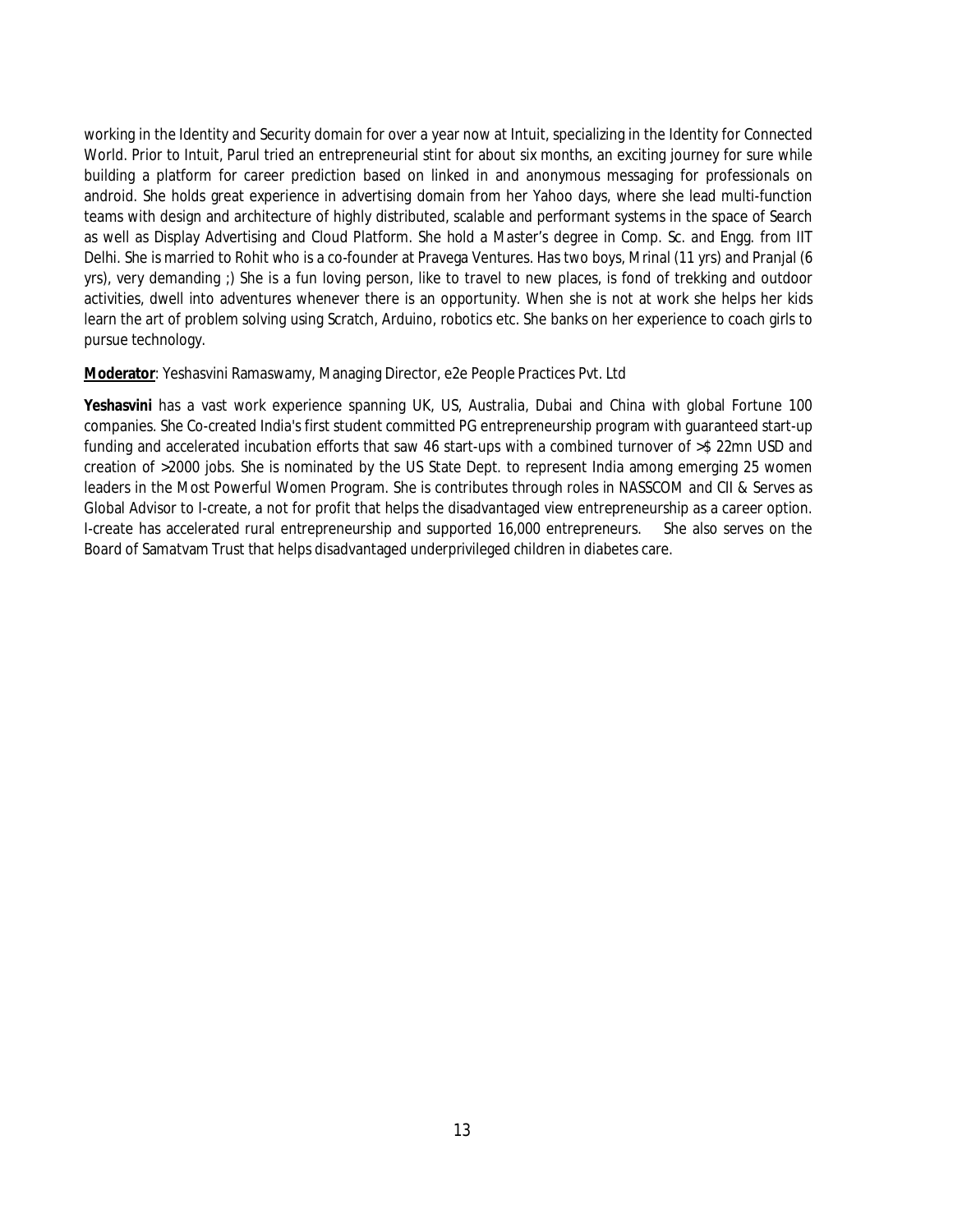working in the Identity and Security domain for over a year now at Intuit, specializing in the Identity for Connected World. Prior to Intuit, Parul tried an entrepreneurial stint for about six months, an exciting journey for sure while building a platform for career prediction based on linked in and anonymous messaging for professionals on android. She holds great experience in advertising domain from her Yahoo days, where she lead multi-function teams with design and architecture of highly distributed, scalable and performant systems in the space of Search as well as Display Advertising and Cloud Platform. She hold a Master's degree in Comp. Sc. and Engg. from IIT Delhi. She is married to Rohit who is a co-founder at Pravega Ventures. Has two boys, Mrinal (11 yrs) and Pranjal (6 yrs), very demanding ;) She is a fun loving person, like to travel to new places, is fond of trekking and outdoor activities, dwell into adventures whenever there is an opportunity. When she is not at work she helps her kids learn the art of problem solving using Scratch, Arduino, robotics etc. She banks on her experience to coach girls to pursue technology.

#### **Moderator**: Yeshasvini Ramaswamy, Managing Director, e2e People Practices Pvt. Ltd

**Yeshasvini** has a vast work experience spanning UK, US, Australia, Dubai and China with global Fortune 100 companies. She Co-created India's first student committed PG entrepreneurship program with guaranteed start-up funding and accelerated incubation efforts that saw 46 start-ups with a combined turnover of >\$ 22mn USD and creation of >2000 jobs. She is nominated by the US State Dept. to represent India among emerging 25 women leaders in the Most Powerful Women Program. She is contributes through roles in NASSCOM and CII & Serves as Global Advisor to I-create, a not for profit that helps the disadvantaged view entrepreneurship as a career option. I-create has accelerated rural entrepreneurship and supported 16,000 entrepreneurs. She also serves on the Board of Samatvam Trust that helps disadvantaged underprivileged children in diabetes care.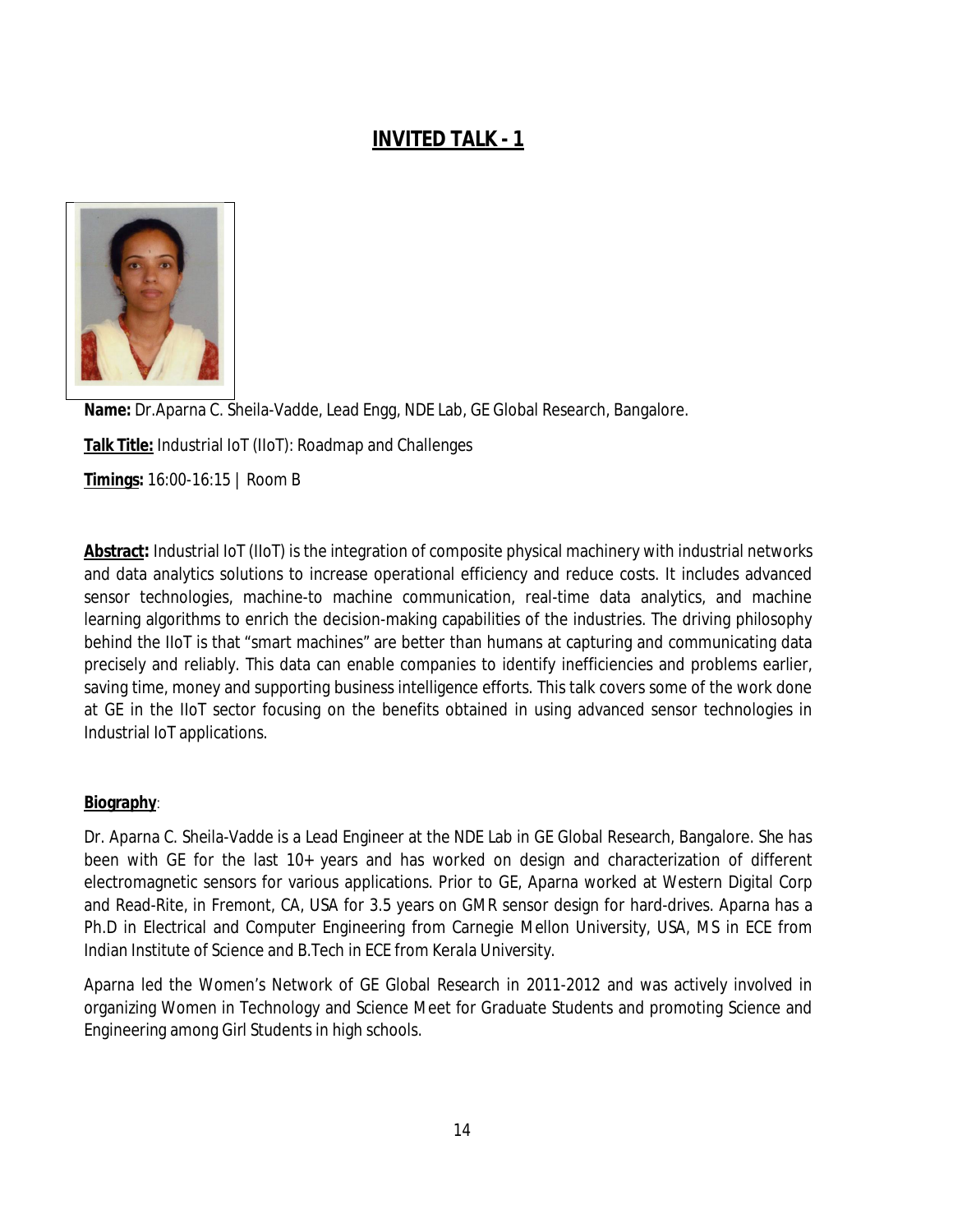## **INVITED TALK - 1**



**Name:** Dr.Aparna C. Sheila-Vadde, Lead Engg, NDE Lab, GE Global Research, Bangalore. **Talk Title:** Industrial IoT (IIoT): Roadmap and Challenges **Timings:** 16:00-16:15 | Room B

**Abstract:** Industrial IoT (IIoT) is the integration of composite physical machinery with industrial networks and data analytics solutions to increase operational efficiency and reduce costs. It includes advanced sensor technologies, machine-to machine communication, real-time data analytics, and machine learning algorithms to enrich the decision-making capabilities of the industries. The driving philosophy behind the IIoT is that "smart machines" are better than humans at capturing and communicating data precisely and reliably. This data can enable companies to identify inefficiencies and problems earlier, saving time, money and supporting business intelligence efforts. This talk covers some of the work done at GE in the IIoT sector focusing on the benefits obtained in using advanced sensor technologies in Industrial IoT applications.

#### **Biography**:

Dr. Aparna C. Sheila-Vadde is a Lead Engineer at the NDE Lab in GE Global Research, Bangalore. She has been with GE for the last 10+ years and has worked on design and characterization of different electromagnetic sensors for various applications. Prior to GE, Aparna worked at Western Digital Corp and Read-Rite, in Fremont, CA, USA for 3.5 years on GMR sensor design for hard-drives. Aparna has a Ph.D in Electrical and Computer Engineering from Carnegie Mellon University, USA, MS in ECE from Indian Institute of Science and B.Tech in ECE from Kerala University.

Aparna led the Women's Network of GE Global Research in 2011-2012 and was actively involved in organizing Women in Technology and Science Meet for Graduate Students and promoting Science and Engineering among Girl Students in high schools.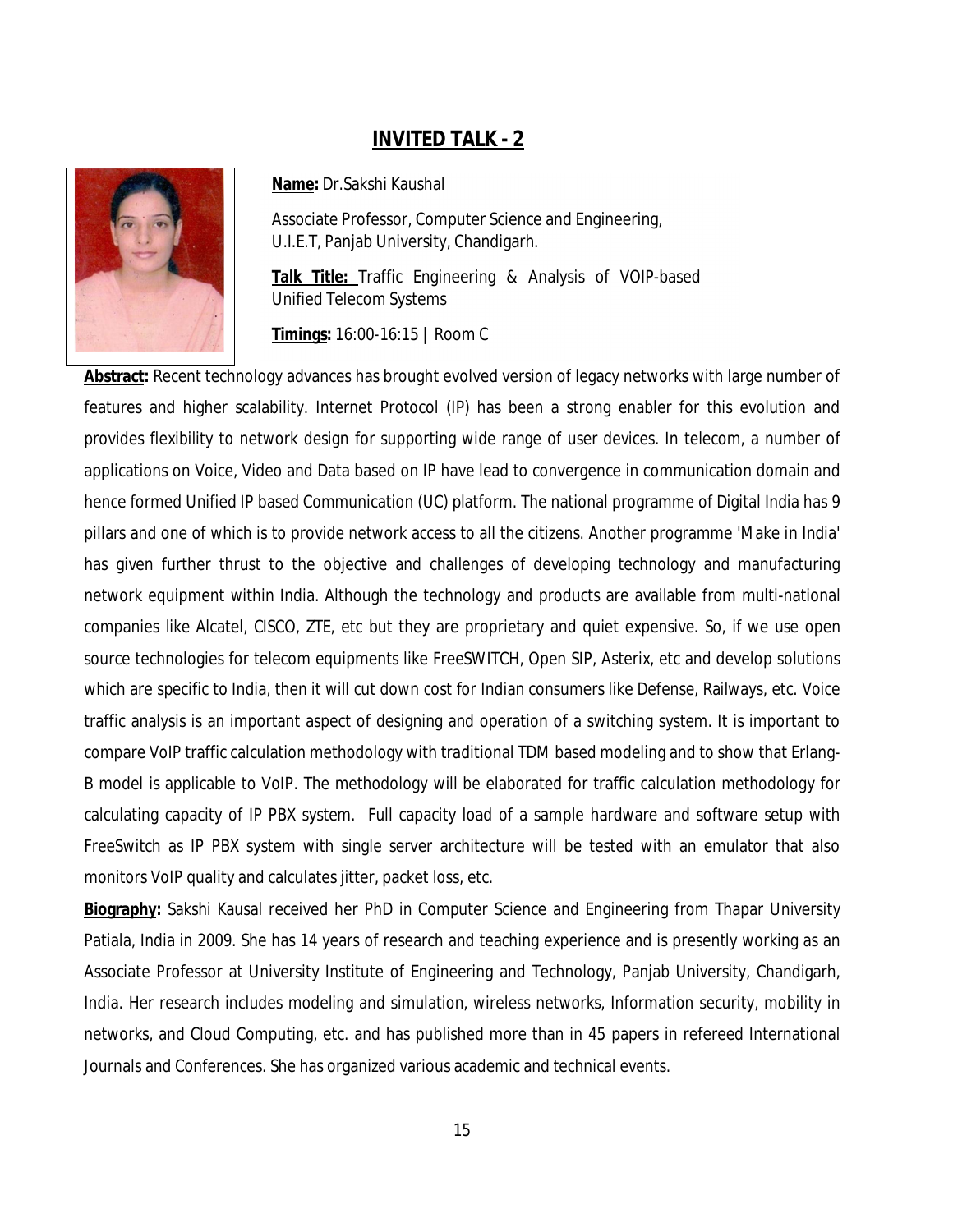## **INVITED TALK - 2**



**Name:** Dr.Sakshi Kaushal

Associate Professor, Computer Science and Engineering, U.I.E.T, Panjab University, Chandigarh.

**Talk Title:** Traffic Engineering & Analysis of VOIP-based Unified Telecom Systems

**Timings:** 16:00-16:15 | Room C

**Abstract:** Recent technology advances has brought evolved version of legacy networks with large number of features and higher scalability. Internet Protocol (IP) has been a strong enabler for this evolution and provides flexibility to network design for supporting wide range of user devices. In telecom, a number of applications on Voice, Video and Data based on IP have lead to convergence in communication domain and hence formed Unified IP based Communication (UC) platform. The national programme of Digital India has 9 pillars and one of which is to provide network access to all the citizens. Another programme 'Make in India' has given further thrust to the objective and challenges of developing technology and manufacturing network equipment within India. Although the technology and products are available from multi-national companies like Alcatel, CISCO, ZTE, etc but they are proprietary and quiet expensive. So, if we use open source technologies for telecom equipments like FreeSWITCH, Open SIP, Asterix, etc and develop solutions which are specific to India, then it will cut down cost for Indian consumers like Defense, Railways, etc. Voice traffic analysis is an important aspect of designing and operation of a switching system. It is important to compare VoIP traffic calculation methodology with traditional TDM based modeling and to show that Erlang-B model is applicable to VoIP. The methodology will be elaborated for traffic calculation methodology for calculating capacity of IP PBX system. Full capacity load of a sample hardware and software setup with FreeSwitch as IP PBX system with single server architecture will be tested with an emulator that also monitors VoIP quality and calculates jitter, packet loss, etc.

**Biography:** Sakshi Kausal received her PhD in Computer Science and Engineering from Thapar University Patiala, India in 2009. She has 14 years of research and teaching experience and is presently working as an Associate Professor at University Institute of Engineering and Technology, Panjab University, Chandigarh, India. Her research includes modeling and simulation, wireless networks, Information security, mobility in networks, and Cloud Computing, etc. and has published more than in 45 papers in refereed International Journals and Conferences. She has organized various academic and technical events.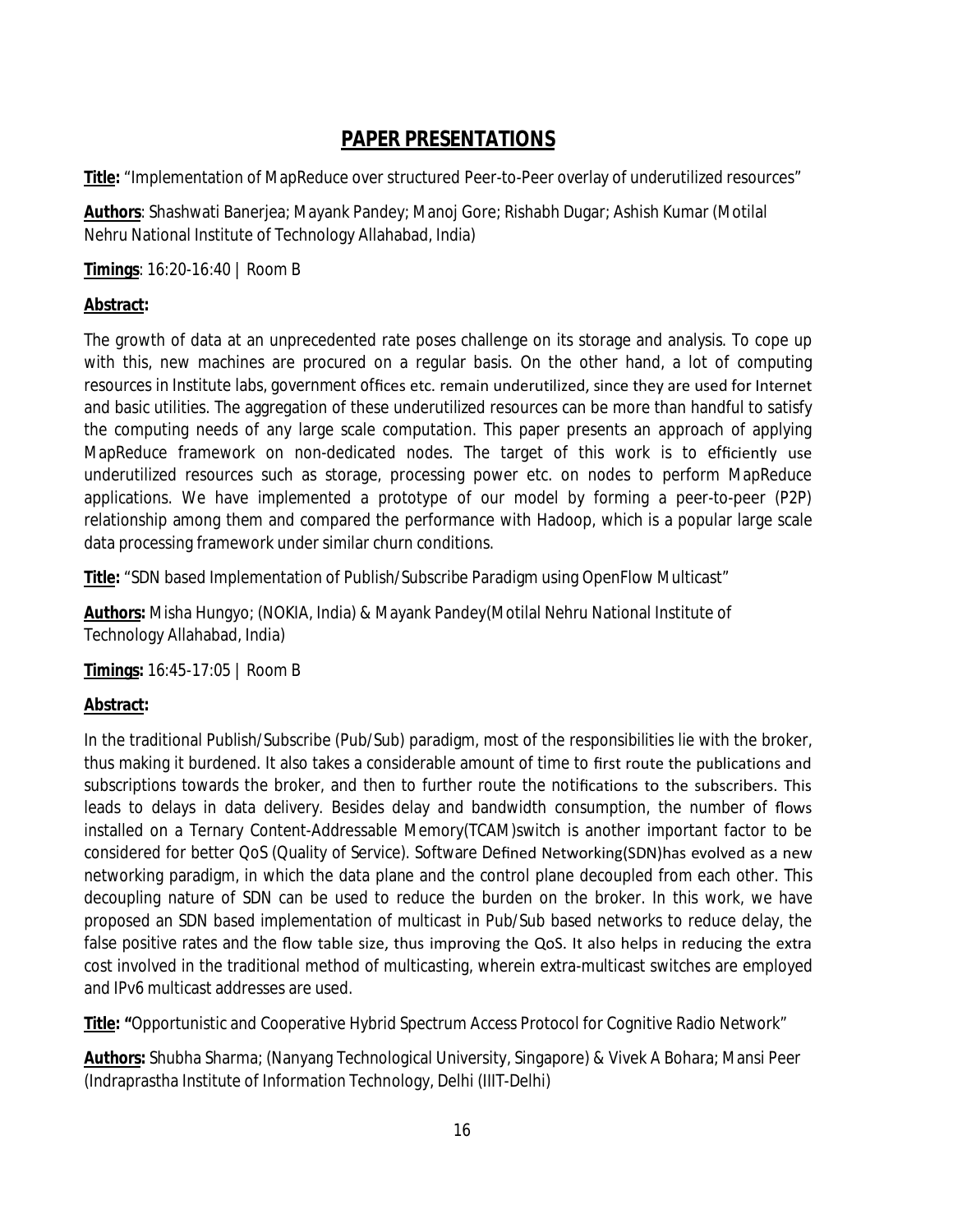## **PAPER PRESENTATIONS**

**Title:** "Implementation of MapReduce over structured Peer-to-Peer overlay of underutilized resources"

**Authors**: Shashwati Banerjea; Mayank Pandey; Manoj Gore; Rishabh Dugar; Ashish Kumar (Motilal Nehru National Institute of Technology Allahabad, India)

**Timings**: 16:20-16:40 | Room B

#### **Abstract:**

The growth of data at an unprecedented rate poses challenge on its storage and analysis. To cope up with this, new machines are procured on a regular basis. On the other hand, a lot of computing resources in Institute labs, government offices etc. remain underutilized, since they are used for Internet and basic utilities. The aggregation of these underutilized resources can be more than handful to satisfy the computing needs of any large scale computation. This paper presents an approach of applying MapReduce framework on non-dedicated nodes. The target of this work is to efficiently use underutilized resources such as storage, processing power etc. on nodes to perform MapReduce applications. We have implemented a prototype of our model by forming a peer-to-peer (P2P) relationship among them and compared the performance with Hadoop, which is a popular large scale data processing framework under similar churn conditions.

**Title:** "SDN based Implementation of Publish/Subscribe Paradigm using OpenFlow Multicast"

**Authors:** Misha Hungyo; (NOKIA, India) & Mayank Pandey(Motilal Nehru National Institute of Technology Allahabad, India)

**Timings:** 16:45-17:05 | Room B

#### **Abstract:**

In the traditional Publish/Subscribe (Pub/Sub) paradigm, most of the responsibilities lie with the broker, thus making it burdened. It also takes a considerable amount of time to first route the publications and subscriptions towards the broker, and then to further route the notifications to the subscribers. This leads to delays in data delivery. Besides delay and bandwidth consumption, the number of flows installed on a Ternary Content-Addressable Memory(TCAM)switch is another important factor to be considered for better QoS (Quality of Service). Software Defined Networking(SDN)has evolved as a new networking paradigm, in which the data plane and the control plane decoupled from each other. This decoupling nature of SDN can be used to reduce the burden on the broker. In this work, we have proposed an SDN based implementation of multicast in Pub/Sub based networks to reduce delay, the false positive rates and the flow table size, thus improving the QoS. It also helps in reducing the extra cost involved in the traditional method of multicasting, wherein extra-multicast switches are employed and IPv6 multicast addresses are used.

**Title: "**Opportunistic and Cooperative Hybrid Spectrum Access Protocol for Cognitive Radio Network"

**Authors:** Shubha Sharma; (Nanyang Technological University, Singapore) & Vivek A Bohara; Mansi Peer (Indraprastha Institute of Information Technology, Delhi (IIIT-Delhi)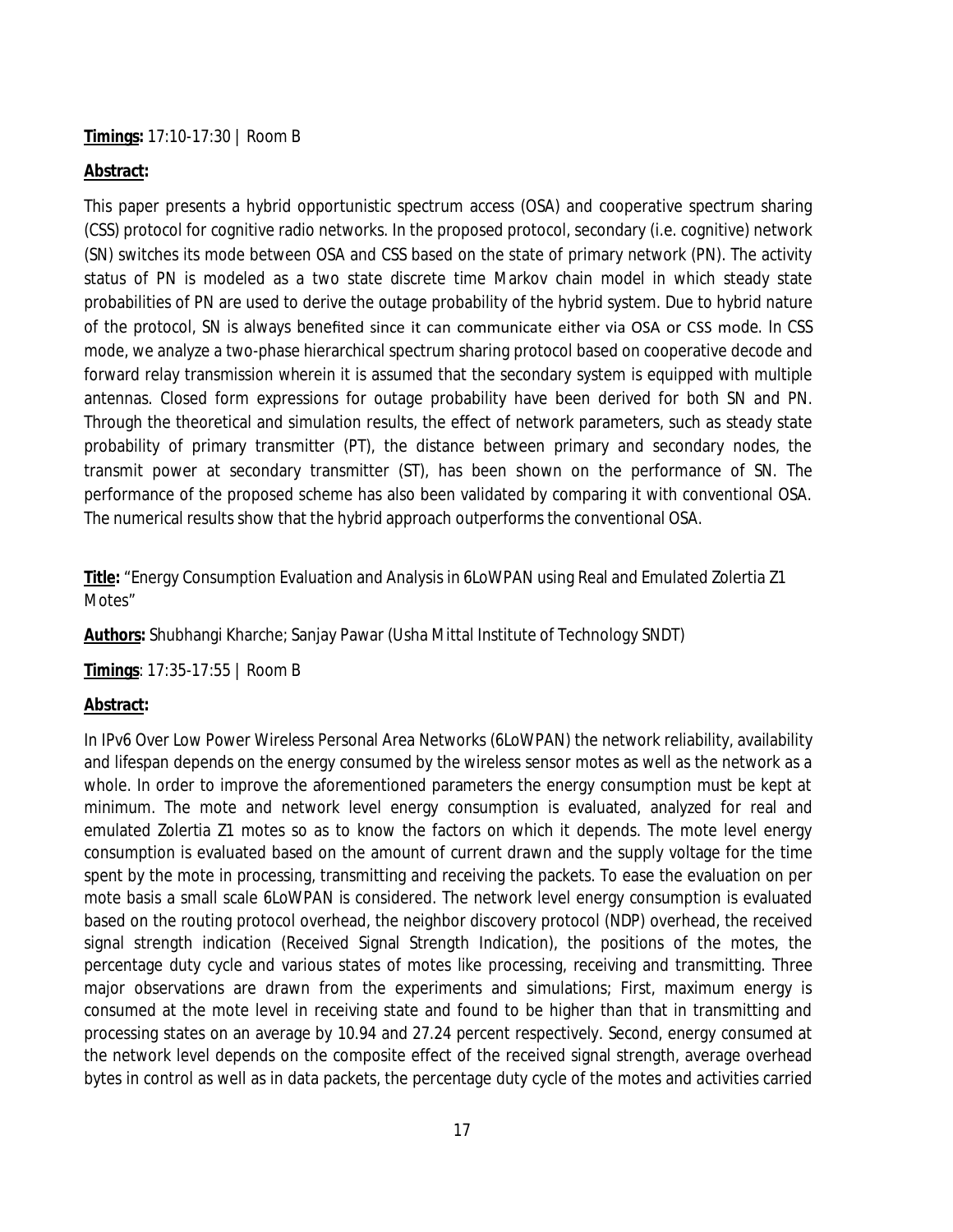**Timings:** 17:10-17:30 | Room B

#### **Abstract:**

This paper presents a hybrid opportunistic spectrum access (OSA) and cooperative spectrum sharing (CSS) protocol for cognitive radio networks. In the proposed protocol, secondary (i.e. cognitive) network (SN) switches its mode between OSA and CSS based on the state of primary network (PN). The activity status of PN is modeled as a two state discrete time Markov chain model in which steady state probabilities of PN are used to derive the outage probability of the hybrid system. Due to hybrid nature of the protocol, SN is always benefited since it can communicate either via OSA or CSS mode. In CSS mode, we analyze a two-phase hierarchical spectrum sharing protocol based on cooperative decode and forward relay transmission wherein it is assumed that the secondary system is equipped with multiple antennas. Closed form expressions for outage probability have been derived for both SN and PN. Through the theoretical and simulation results, the effect of network parameters, such as steady state probability of primary transmitter (PT), the distance between primary and secondary nodes, the transmit power at secondary transmitter (ST), has been shown on the performance of SN. The performance of the proposed scheme has also been validated by comparing it with conventional OSA. The numerical results show that the hybrid approach outperforms the conventional OSA.

**Title:** "Energy Consumption Evaluation and Analysis in 6LoWPAN using Real and Emulated Zolertia Z1 Motes"

**Authors:** Shubhangi Kharche; Sanjay Pawar (Usha Mittal Institute of Technology SNDT)

**Timings**: 17:35-17:55 | Room B

#### **Abstract:**

In IPv6 Over Low Power Wireless Personal Area Networks (6LoWPAN) the network reliability, availability and lifespan depends on the energy consumed by the wireless sensor motes as well as the network as a whole. In order to improve the aforementioned parameters the energy consumption must be kept at minimum. The mote and network level energy consumption is evaluated, analyzed for real and emulated Zolertia Z1 motes so as to know the factors on which it depends. The mote level energy consumption is evaluated based on the amount of current drawn and the supply voltage for the time spent by the mote in processing, transmitting and receiving the packets. To ease the evaluation on per mote basis a small scale 6LoWPAN is considered. The network level energy consumption is evaluated based on the routing protocol overhead, the neighbor discovery protocol (NDP) overhead, the received signal strength indication (Received Signal Strength Indication), the positions of the motes, the percentage duty cycle and various states of motes like processing, receiving and transmitting. Three major observations are drawn from the experiments and simulations; First, maximum energy is consumed at the mote level in receiving state and found to be higher than that in transmitting and processing states on an average by 10.94 and 27.24 percent respectively. Second, energy consumed at the network level depends on the composite effect of the received signal strength, average overhead bytes in control as well as in data packets, the percentage duty cycle of the motes and activities carried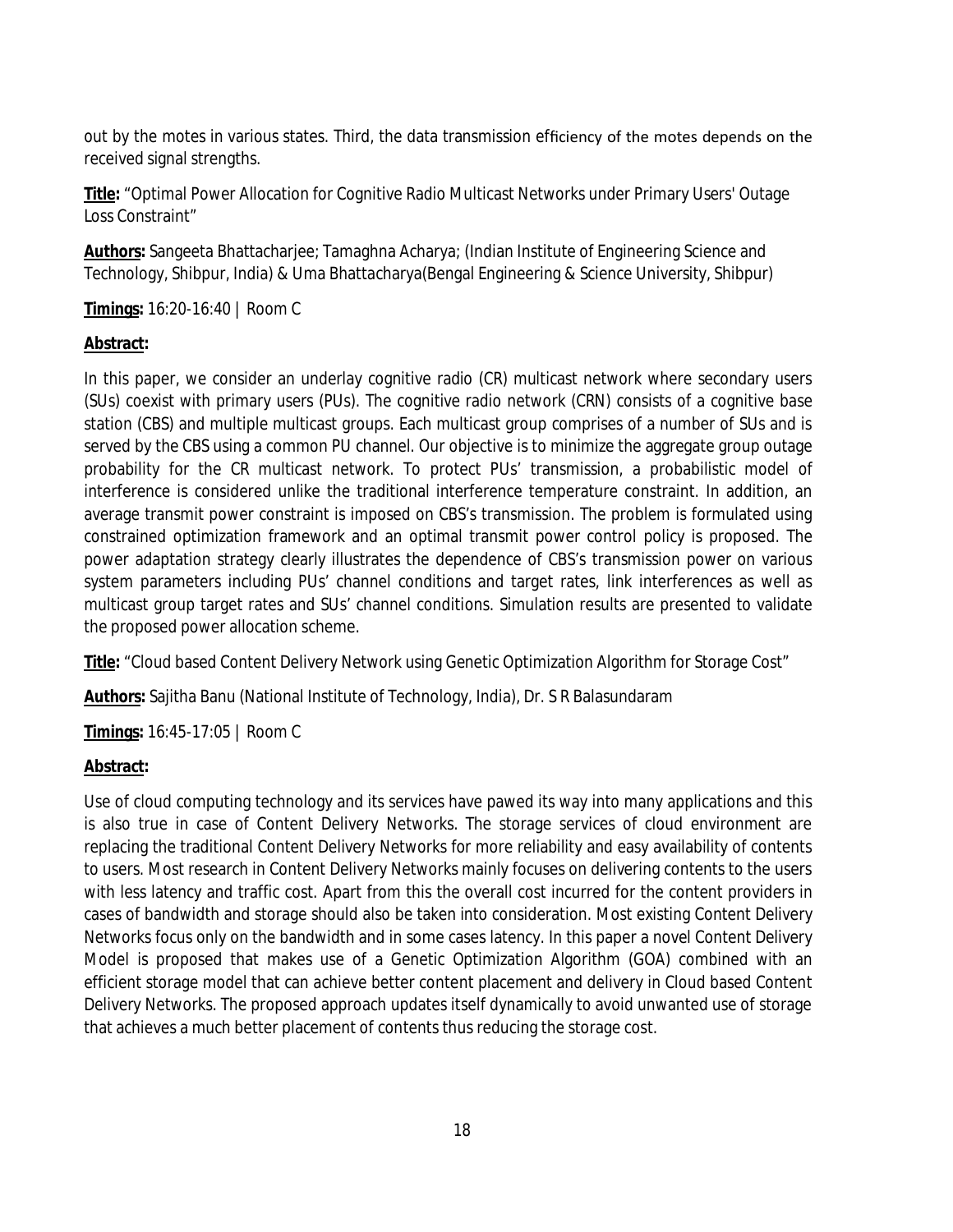out by the motes in various states. Third, the data transmission efficiency of the motes depends on the received signal strengths.

**Title:** "Optimal Power Allocation for Cognitive Radio Multicast Networks under Primary Users' Outage Loss Constraint"

**Authors:** Sangeeta Bhattacharjee; Tamaghna Acharya; (Indian Institute of Engineering Science and Technology, Shibpur, India) & Uma Bhattacharya(Bengal Engineering & Science University, Shibpur)

**Timings:** 16:20-16:40 | Room C

#### **Abstract:**

In this paper, we consider an underlay cognitive radio (CR) multicast network where secondary users (SUs) coexist with primary users (PUs). The cognitive radio network (CRN) consists of a cognitive base station (CBS) and multiple multicast groups. Each multicast group comprises of a number of SUs and is served by the CBS using a common PU channel. Our objective is to minimize the aggregate group outage probability for the CR multicast network. To protect PUs' transmission, a probabilistic model of interference is considered unlike the traditional interference temperature constraint. In addition, an average transmit power constraint is imposed on CBS's transmission. The problem is formulated using constrained optimization framework and an optimal transmit power control policy is proposed. The power adaptation strategy clearly illustrates the dependence of CBS's transmission power on various system parameters including PUs' channel conditions and target rates, link interferences as well as multicast group target rates and SUs' channel conditions. Simulation results are presented to validate the proposed power allocation scheme.

**Title:** "Cloud based Content Delivery Network using Genetic Optimization Algorithm for Storage Cost"

**Authors:** Sajitha Banu (National Institute of Technology, India), Dr. S R Balasundaram

**Timings:** 16:45-17:05 | Room C

#### **Abstract:**

Use of cloud computing technology and its services have pawed its way into many applications and this is also true in case of Content Delivery Networks. The storage services of cloud environment are replacing the traditional Content Delivery Networks for more reliability and easy availability of contents to users. Most research in Content Delivery Networks mainly focuses on delivering contents to the users with less latency and traffic cost. Apart from this the overall cost incurred for the content providers in cases of bandwidth and storage should also be taken into consideration. Most existing Content Delivery Networks focus only on the bandwidth and in some cases latency. In this paper a novel Content Delivery Model is proposed that makes use of a Genetic Optimization Algorithm (GOA) combined with an efficient storage model that can achieve better content placement and delivery in Cloud based Content Delivery Networks. The proposed approach updates itself dynamically to avoid unwanted use of storage that achieves a much better placement of contents thus reducing the storage cost.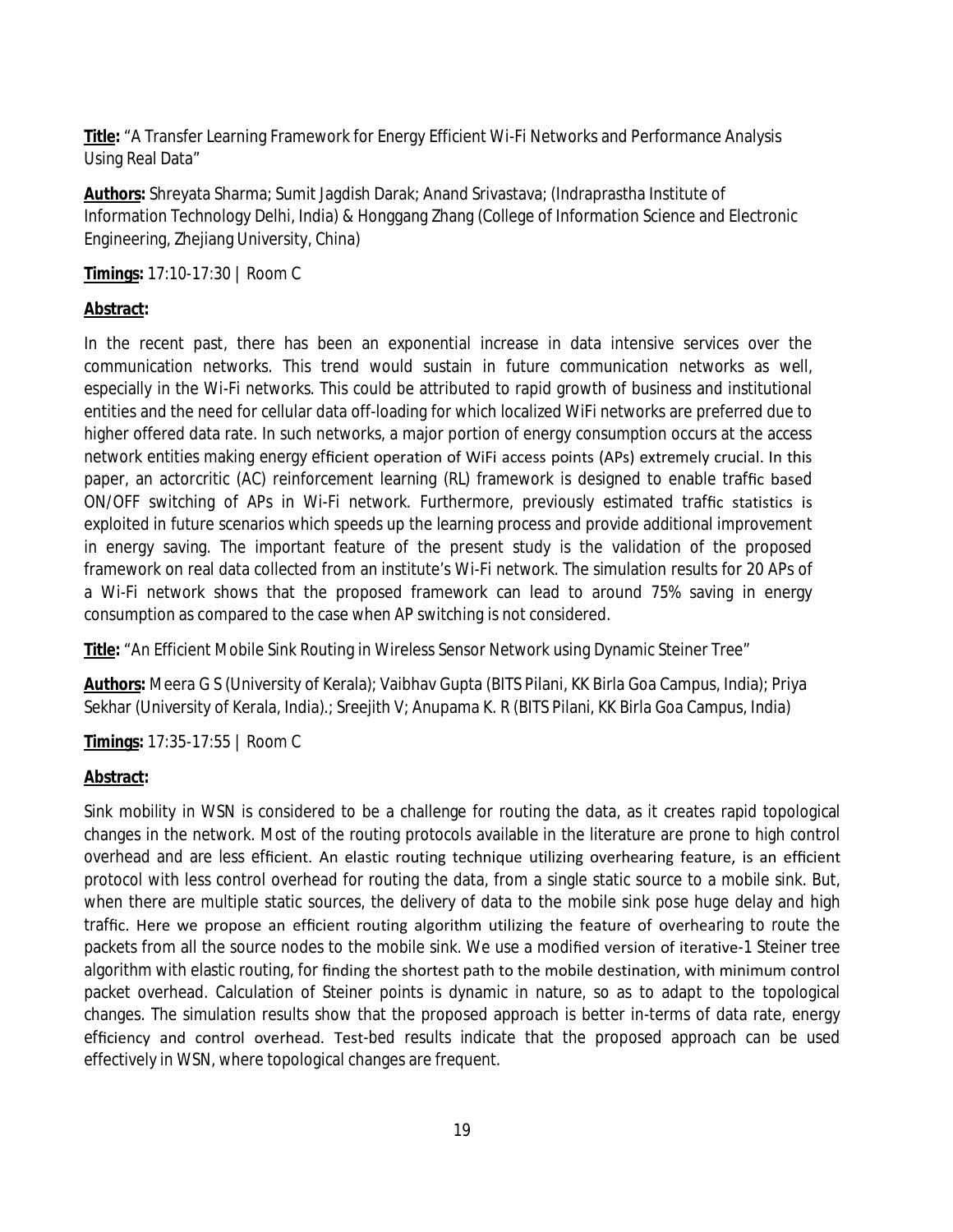**Title:** "A Transfer Learning Framework for Energy Efficient Wi-Fi Networks and Performance Analysis Using Real Data"

**Authors:** Shreyata Sharma; Sumit Jagdish Darak; Anand Srivastava; (Indraprastha Institute of Information Technology Delhi, India) & Honggang Zhang (College of Information Science and Electronic Engineering, Zhejiang University, China)

**Timings:** 17:10-17:30 | Room C

#### **Abstract:**

In the recent past, there has been an exponential increase in data intensive services over the communication networks. This trend would sustain in future communication networks as well, especially in the Wi-Fi networks. This could be attributed to rapid growth of business and institutional entities and the need for cellular data off-loading for which localized WiFi networks are preferred due to higher offered data rate. In such networks, a major portion of energy consumption occurs at the access network entities making energy efficient operation of WiFi access points (APs) extremely crucial. In this paper, an actorcritic (AC) reinforcement learning (RL) framework is designed to enable traffic based ON/OFF switching of APs in Wi-Fi network. Furthermore, previously estimated traffic statistics is exploited in future scenarios which speeds up the learning process and provide additional improvement in energy saving. The important feature of the present study is the validation of the proposed framework on real data collected from an institute's Wi-Fi network. The simulation results for 20 APs of a Wi-Fi network shows that the proposed framework can lead to around 75% saving in energy consumption as compared to the case when AP switching is not considered.

**Title:** "An Efficient Mobile Sink Routing in Wireless Sensor Network using Dynamic Steiner Tree"

**Authors:** Meera G S (University of Kerala); Vaibhav Gupta (BITS Pilani, KK Birla Goa Campus, India); Priya Sekhar (University of Kerala, India).; Sreejith V; Anupama K. R (BITS Pilani, KK Birla Goa Campus, India)

**Timings:** 17:35-17:55 | Room C

#### **Abstract:**

Sink mobility in WSN is considered to be a challenge for routing the data, as it creates rapid topological changes in the network. Most of the routing protocols available in the literature are prone to high control overhead and are less efficient. An elastic routing technique utilizing overhearing feature, is an efficient protocol with less control overhead for routing the data, from a single static source to a mobile sink. But, when there are multiple static sources, the delivery of data to the mobile sink pose huge delay and high traffic. Here we propose an efficient routing algorithm utilizing the feature of overhearing to route the packets from all the source nodes to the mobile sink. We use a modified version of iterative-1 Steiner tree algorithm with elastic routing, for finding the shortest path to the mobile destination, with minimum control packet overhead. Calculation of Steiner points is dynamic in nature, so as to adapt to the topological changes. The simulation results show that the proposed approach is better in-terms of data rate, energy efficiency and control overhead. Test-bed results indicate that the proposed approach can be used effectively in WSN, where topological changes are frequent.